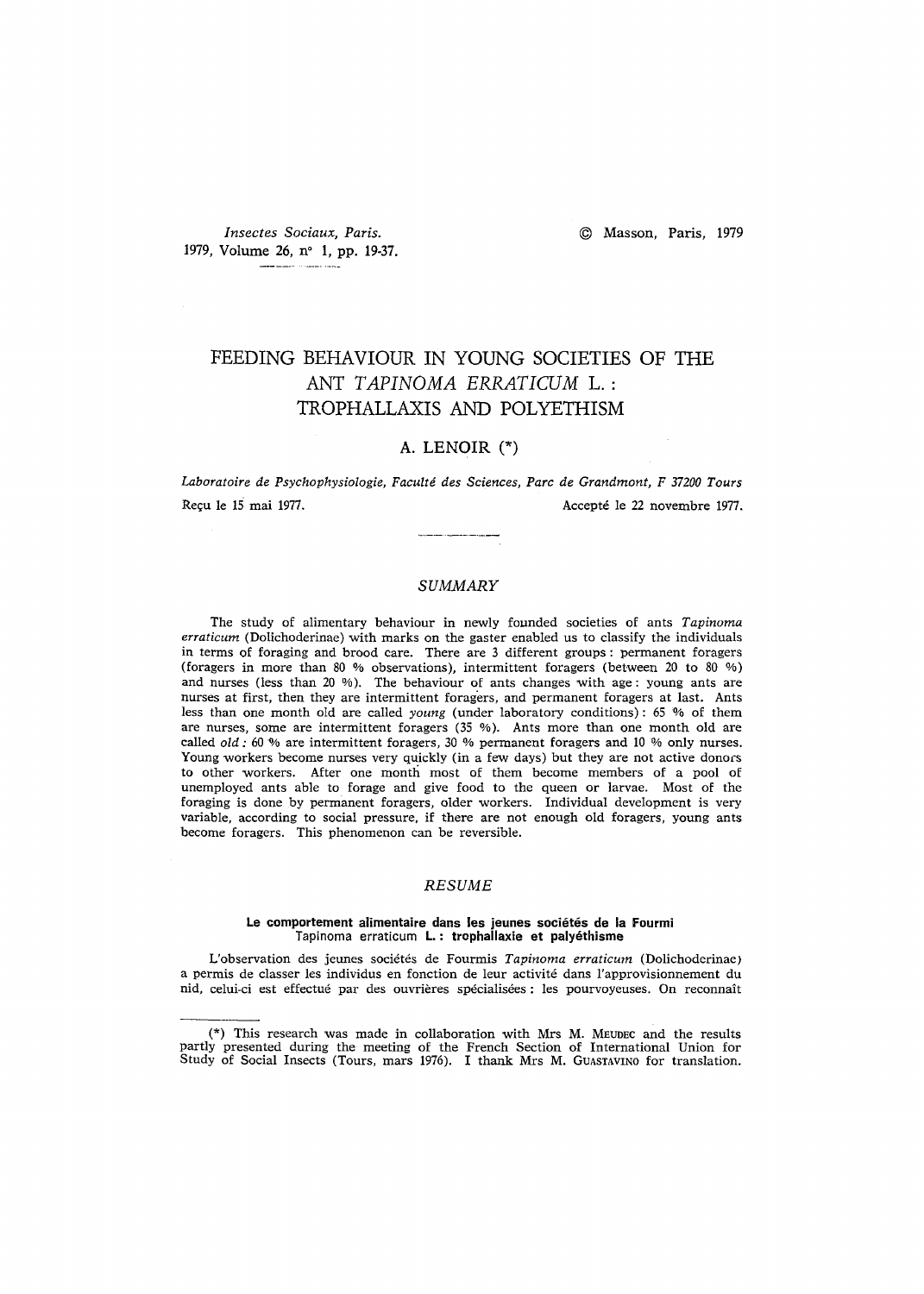*Insectes Sociaux, Paris.*  1979, Volume 26, n° 1, pp. 19-37.

# FEEDING BEHAVIOUR IN YOUNG SOCIETIES OF THE ANT *TAPINOMA ERRATICUM L. :*  TROPHALLAXIS AND POLYETHISM

# A. LENOIR (\*)

Laboratoire de Psychophysiologie, Faculté des Sciences, Parc de Grandmont, F 37200 Tours Regu le 15 mai 1977. Accepté le 22 novembre 1977.

## *SUMMARY*

The study of alimentary behaviour in newly founded societies of ants *Tapinoma erraticum* (Dolichoderinae) with marks on the gaster enabled us to classify the individuals **in** terms of foraging and brood care. There are 3 different groups: permanent foragers (foragers in more than 80 % observations), intermittent foragers (between 20 to 80 %) and nurses (less than 20 %). The behaviour of ants changes with age: young ants are nurses at first, then they are intermittent foragers, and permanent foragers at last. Ants less than one month old are called *young* (under laboratory conditions): 65 % of them are nurses, some are intermittent foragers (35 %). Ants more than one month old are called *old* : 60 % are intermittent foragers, 30 % permanent foragers and 10 % only nurses. Young workers become nurses very quickly (in a few days) but they are not active donors to other workers. After one month most of them become members of a pool of unemployed ants able to forage and give food to the queen or larvae. Most of the foraging is done by permanent foragers, older workers. Individual development is very variable, according to social pressure, if there are not enough old foragers, young ants become foragers. This phenomenon can be reversible.

# *RESUME*

### Le comportement alimentaire dans les jeunes sociétés de la Fourmi Tapinoma erraticum **L. : trophallaxie et paly6thisme**

L'observation des jeunes sociétés de Fourmis *Tapinoma erraticum* (Dolichoderinae) a permis de classer les individus en fonction de leur activité dans l'approvisionnement du nid, celui-ci est effectué par des ouvrières spécialisées: les pourvoyeuses. On reconnaît

<sup>(\*)</sup> This research was made in collaboration with Mrs M. MEUDEC and the results partly presented during the meeting of the French Section of International Union for Study of Social Insects (Tours, mars 1976). I thank Mrs M. GUASTAVINO for translation.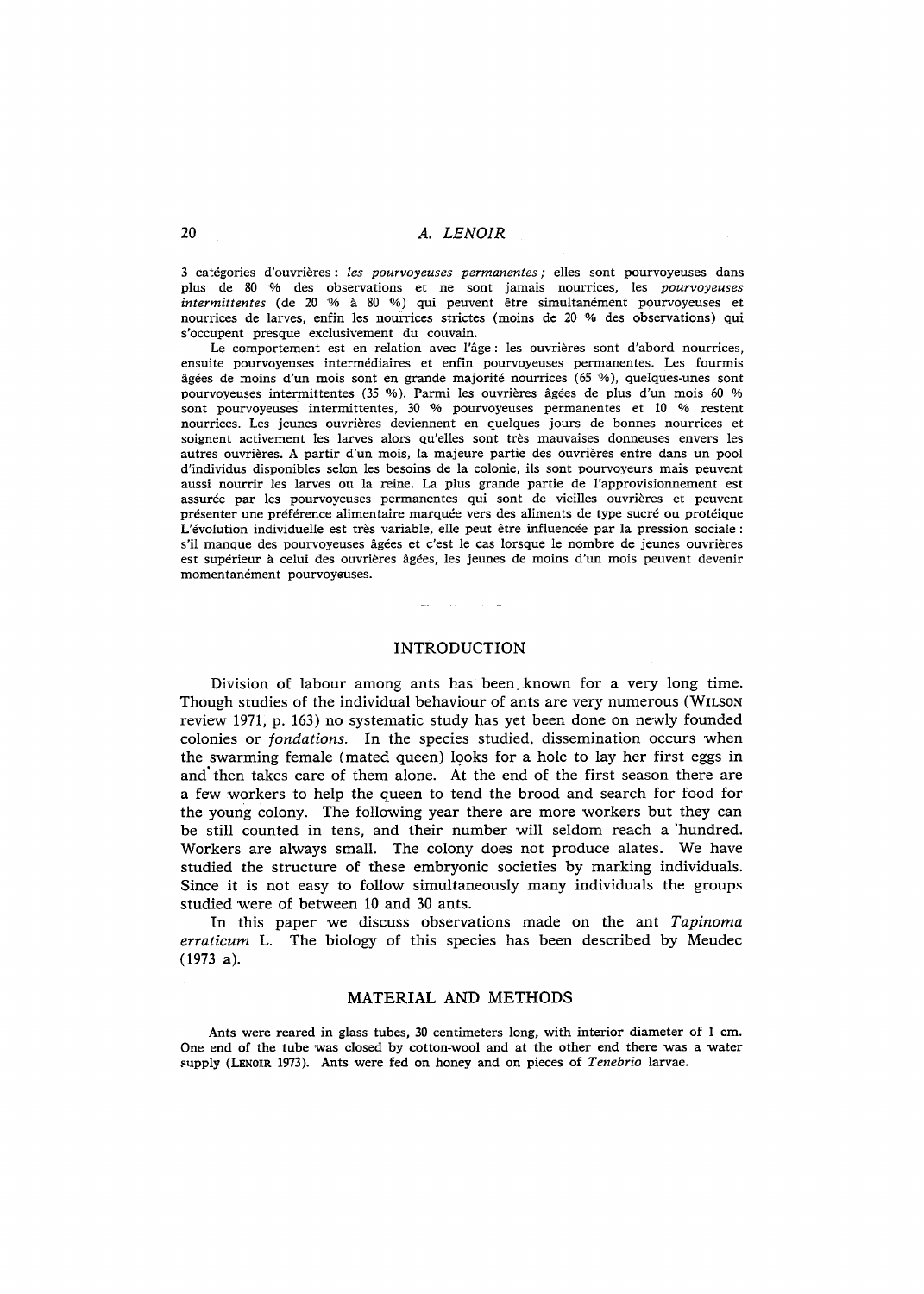3 catégories d'ouvrières: *les pourvoyeuses permanentes*; elles sont pourvoyeuses dans plus de 80 % des observations et ne sont jamais nourrices, les *pourvoyeuses intermittentes* (de 20 % à 80 %) qui peuvent être simultanément pourvoyeuses et nourrices de larves, enfin les nourrices strictes (moins de 20 % des observations) qui s'occupent presque exclusivement du couvain.

Le comportement est en relation avec l'âge: les ouvrières sont d'abord nourrices, ensuite pourvoyeuses interm6diaires et enfin pourvoyeuses permanentes. Les fourmis âgées de moins d'un mois sont en grande majorité nourrices (65 %), quelques-unes sont pourvoyeuses intermittentes (35 %). Parmi les ouvrières âgées de plus d'un mois 60 % sont pourvoyeuses intermittentes, 30 % pourvoyeuses permanentes et 10 % restent nourrices. Les jeunes ouvrières deviennent en quelques jours de bonnes nourrices et soignent activement les larves alors qu'elles sont très mauvaises donneuses envers les autres ouvrières. A partir d'un mois, la majeure partie des ouvrières entre dans un pool d'individus disponibles selon les besoins de la eolonie, ils sont pourvoyeurs mais peuvent aussi nourrir les larves ou la reine. La plus grande partie de l'approvisionnement est assurée par les pourvoyeuses permanentes qui sont de vieilles ouvrières et peuvent présenter une préférence alimentaire marquée vers des aliments de type sucré ou protéique L'évolution individuelle est très variable, elle peut être influencée par la pression sociale : s'il manque des pourvoyeuses âgées et c'est le cas lorsque le nombre de jeunes ouvrières est supérieur à celui des ouvrières âgées, les jeunes de moins d'un mois peuvent devenir momentanément pourvoyeuses.

## INTRODUCTION

Division of labour among ants has been. known for a very long time. Though studies of the individual behaviour of ants are very numerous (WILSON review 1971, p. 163) no systematic study has yet been done on newly founded colonies or *fondations.* In the species studied, dissemination occurs when the swarming female (mated queen) looks for a hole to lay her first eggs in and' then takes care of them alone. At the end of the first season there are a few workers to help the queen to tend the brood and search for food for the young colony. The following year there are more workers but they can be still counted in tens, and their *number* will seldom reach a "hundred. Workers are always small. The colony does not produce alates. We have studied the structure of these embryonic societies by marking individuals. Since it is not easy to follow simultaneously many individuals the groups studied were of between 10 and 30 ants.

In this paper we discuss observations made on the ant *Tapinoma erraticum* L. The biology of this species has been described by Meudec (1973 a).

## MATERIAL AND METHODS

Ants were reared in glass tubes, 30 centimeters long, with interior diameter of 1 cm. One end of the tube was closed by cotton-wool and at the other end there was a water supply (LENOIR 1973). Ants were fed on honey and on pieces of *Tenebrio* larvae.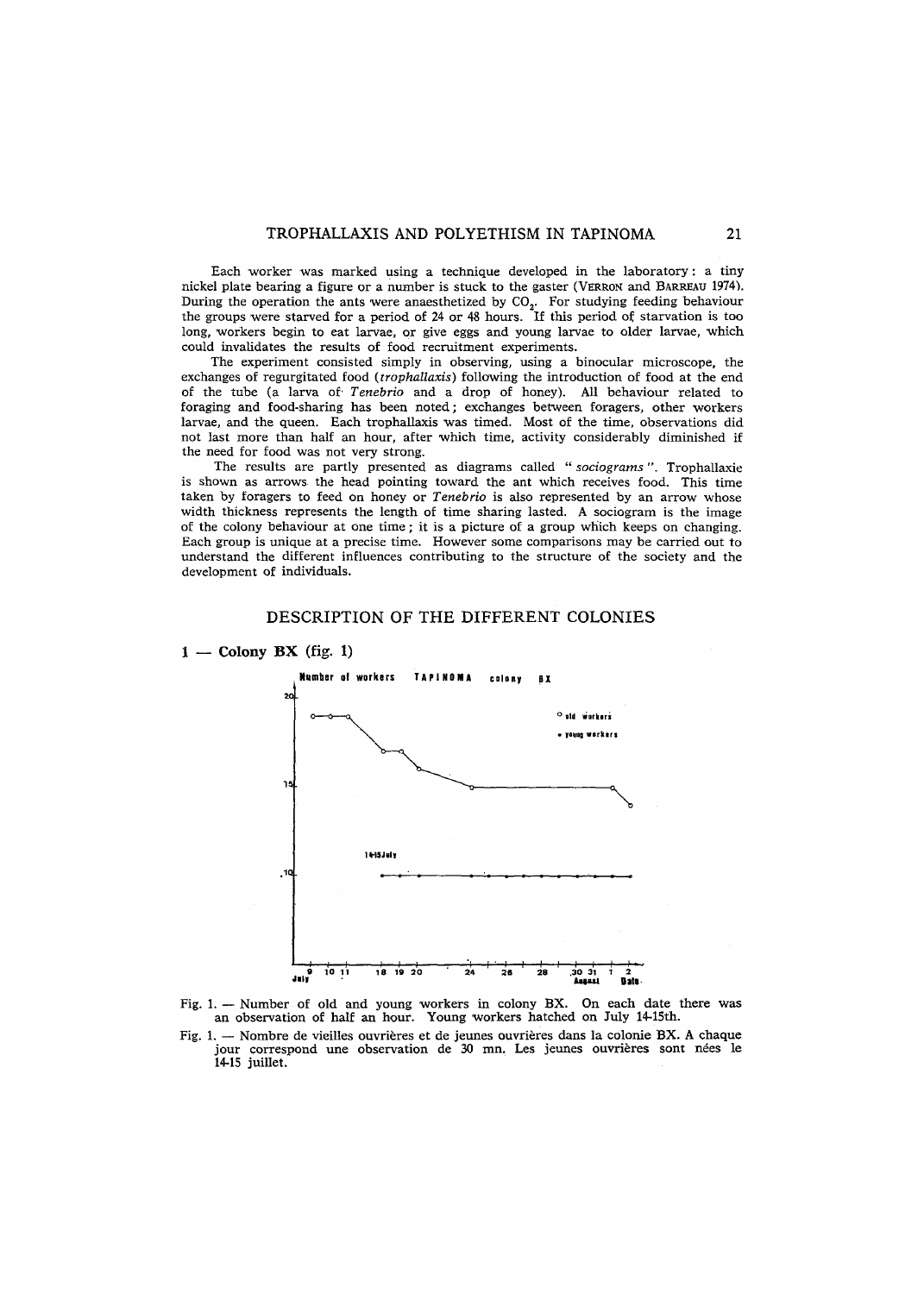# **TROPHALLAXlS AND POLYETHISM IN TAPINOMA** 21

Each 'worker was marked using a technique developed in the laboratory: a tiny nickel plate bearing a figure or a number is stuck to the gaster (VERRON and BARREAU 1974). During the operation the ants were anaesthetized by  $CO_2$ . For studying feeding behaviour the groups were starved for a period of 24 or 48 hours. If this period of starvation is too long, workers begin to eat larvae, or give eggs and young larvae to older larvae, which could invalidates the results of food recruitment experiments.

The experiment consisted simply in observing, using a binocular microscope, the exchanges of regurgitated food *(trophallaxis)* following the introduction of food at the end of the tube (a larva of *Tenebrio* and a drop of honey). All behaviour related to foraging and food-sharing has been noted; exchanges between foragers, other workers larvae, and the queen. Each trophallaxis was timed. Most of the time, observations did not last more than half an hour, after which time, activity considerably diminished if the need for food was not very strong.

The results are partly presented as diagrams called " *sociograms ".* Trophallaxie is shown as arrows the head pointing toward the ant which receives food. This time taken by foragers to feed on honey or *Tenebrio* is also represented by an arrow whose width thickness represents the length of time sharing lasted. A sociogram is the image of the colony behaviour at one time ; it is a picture of a group which keeps on changing. Each group is unique at a precise time. However some comparisons may be carried out to understand the different influences contributing to the structure of the society and the development of individuals.

# **DESCRIPTION OF THE DIFFERENT COLONIES**





Fig. 1. -- Nombre de vieilles ouvrières et de jeunes ouvrières dans la colonie BX. A chaque jour correspond une observation de 30 mn. Les jeunes ouvrières sont nées le 14-15 juillet.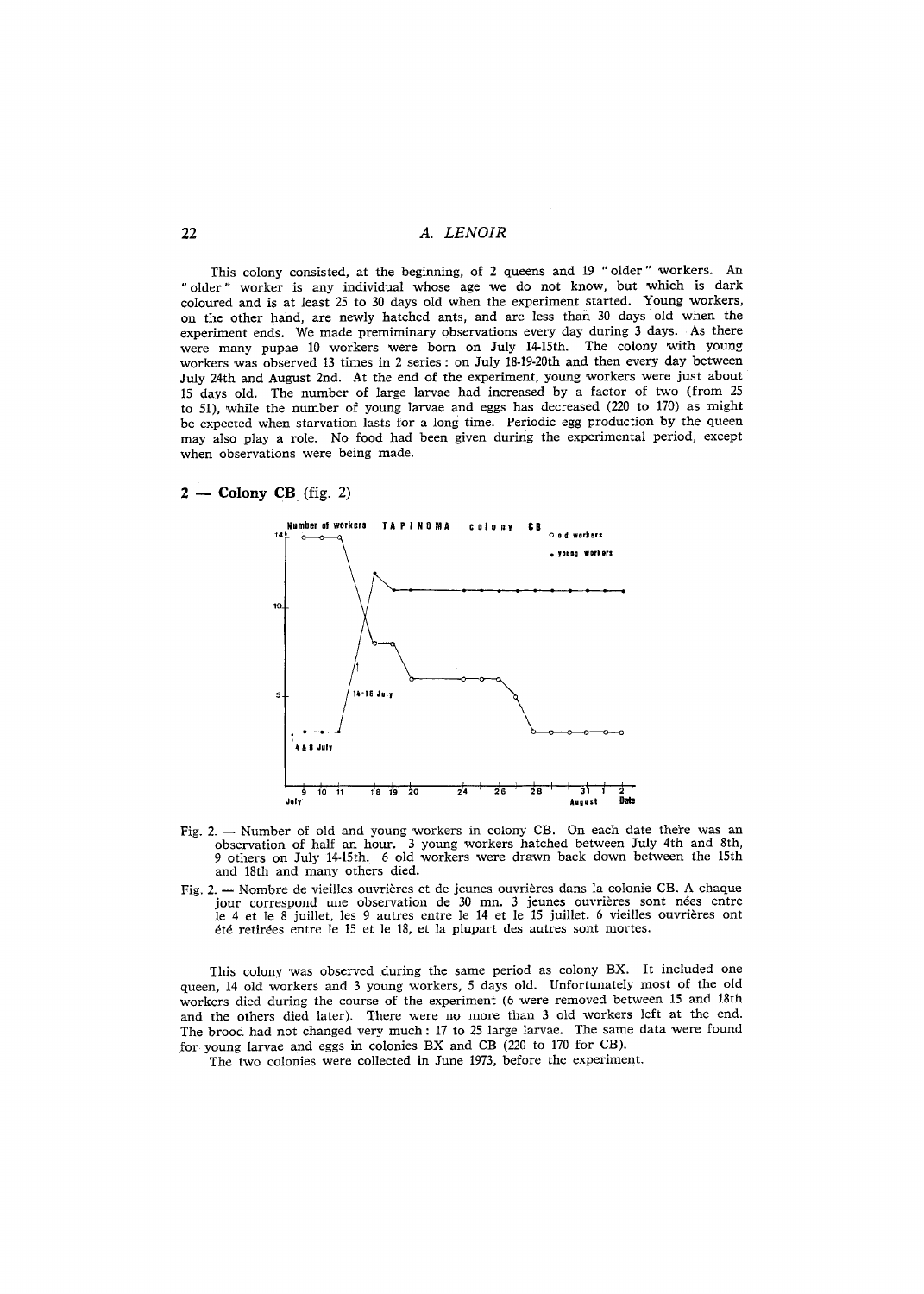This colony consisted, at the beginning, of 2 queens and 19 "older" workers. An *"* older" worker is any individual whose age we do not know, but which is dark coloured and is at least 25 to 30 days old when the experiment started. Young workers, on the other hand, are newly hatched ants, and are less than 30 days old when the experiment ends. We made premiminary observations every day during 3 days. As there were many pupae 10 workers were born on July 14-15th. The colony with young workers was observed 13 times in 2 series : on July 18-19-20th and then every day between July 24th and August 2nd. At the end of the experiment, young workers were just about 15 days old. The number of large larvae had increased by a factor of two (from 25 to 51), while the number of young larvae and eggs has decreased (220 to 170) as might be expected when starvation lasts for a long time. Periodic egg production by the queen may also play a role. No food had been given during the experimental period, except when observations were being made.





- Fig. 2. -- Number of old and young workers in colony CB. On each date there was an observation of half an hour. 3 young 'workers hatched between July 4th and 8th, 9 others on July 14-15th. 6 old workers were drzwn back down between the 15th and 18th and many others died.
- Fig. 2. -- Nombre de vieilles ouvrières et de jeunes ouvrières dans la colonie CB. A chaque jour correspond une observation de 30 mn. 3 jeunes ouvrières sont nées entre le 4 et le 8 juillet, les 9 autres entre le 14 et le 15 juillet. 6 vieilles ouvri6res ont été retirées entre le 15 et le 18, et la plupart des autres sont mortes.

This colony 'was observed during the same period as colony BX. It included one queen, 14 old workers and 3 young workers, 5 days old. Unfortunately most of the old workers died during the course of the experiment (6 were removed between 15 and 18th and the others died later). There were no more than 3 old workers left at the end. The brood had not changed very much : 17 to 25 large larvae. The same data were found for young larvae and eggs in colonies BX and CB (220 to 170 for CB).

The two colonies were collected in June 1973, before the experiment.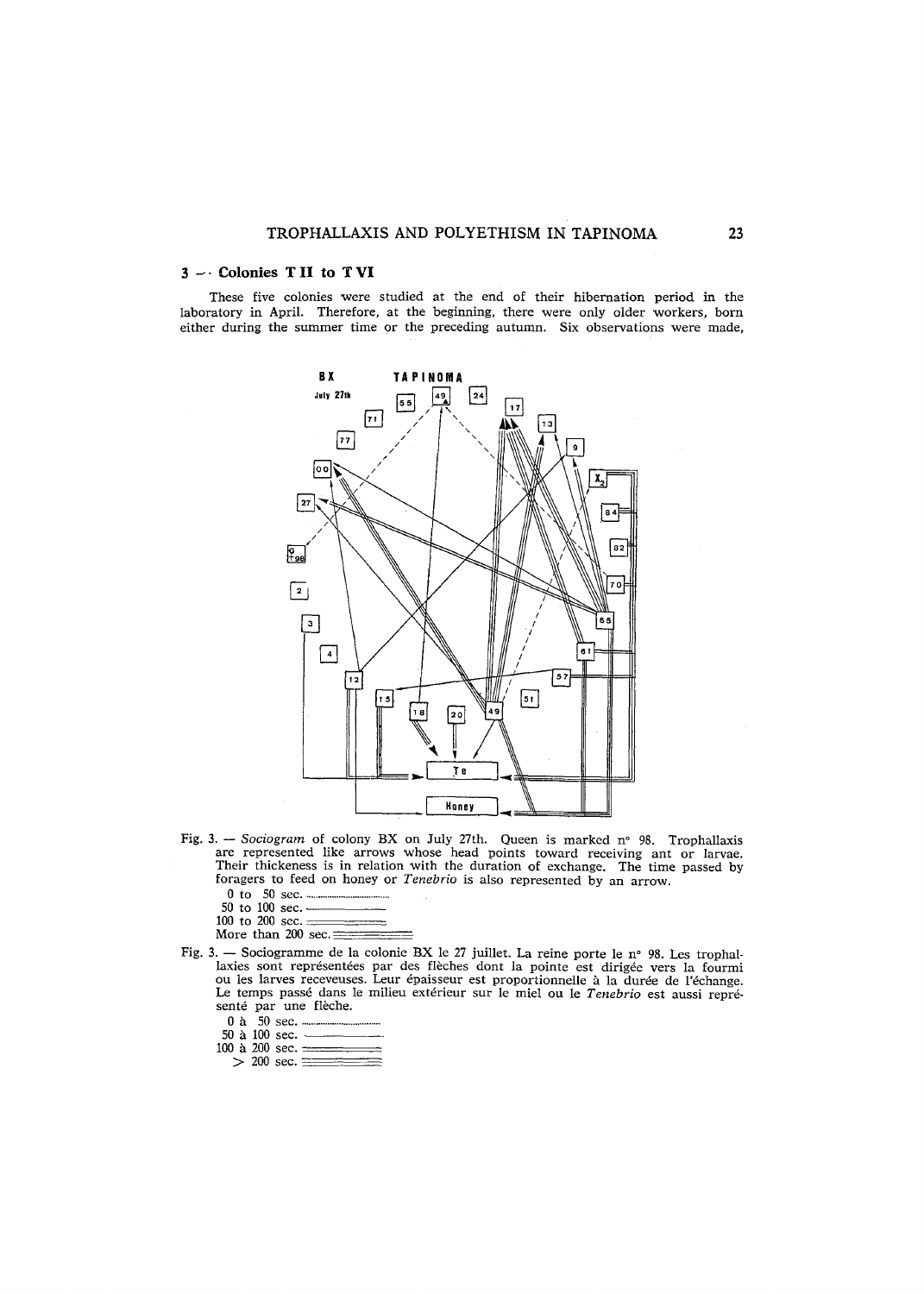## 3 ~- Colonies T II to T VI

These five colonies were studied at the end of their hibernation period in the laboratory in April. Therefore, at the beginning, there were only older workers, born either during the summer time or the preceding autumn. Six observations were made,



- Fig. 3. -- *Sociogram* of colony BX on July 27th. Queen is marked n° 98. Trophallaxis are represented like arrows 'whose head points toward receiving ant or larvae. Their thickeness is in relation with the duration of exchange. The time passed by foragers to feed on honey or *Tenebrio* is also represented by an arrow.
	- 0 to 50 sec........
	- 50 to 100 sec.
	- 100 to 200 sec.  $=$
	- More than 200 sec. $\equiv$
- Fig. 3. -- Sociogramme de la colonie BX le 27 juillet. La reine porte le n<sup>o</sup> 98. Les trophallaxies sont représentées par des flèches dont la pointe est dirigée vers la fourmi ou les larves receveuses. Leur épaisseur est proportionnelle à la durée de l'échange.<br>Le temps passé dans le milieu extérieur sur le miel ou le *Tenebrio* est aussi représenté par une flèche.
	- 0 à 50 sec. ..
	- $50$  à  $100$  sec. -
	- 100 à 200 sec.  $=$
	- $> 200$  sec.  $\equiv$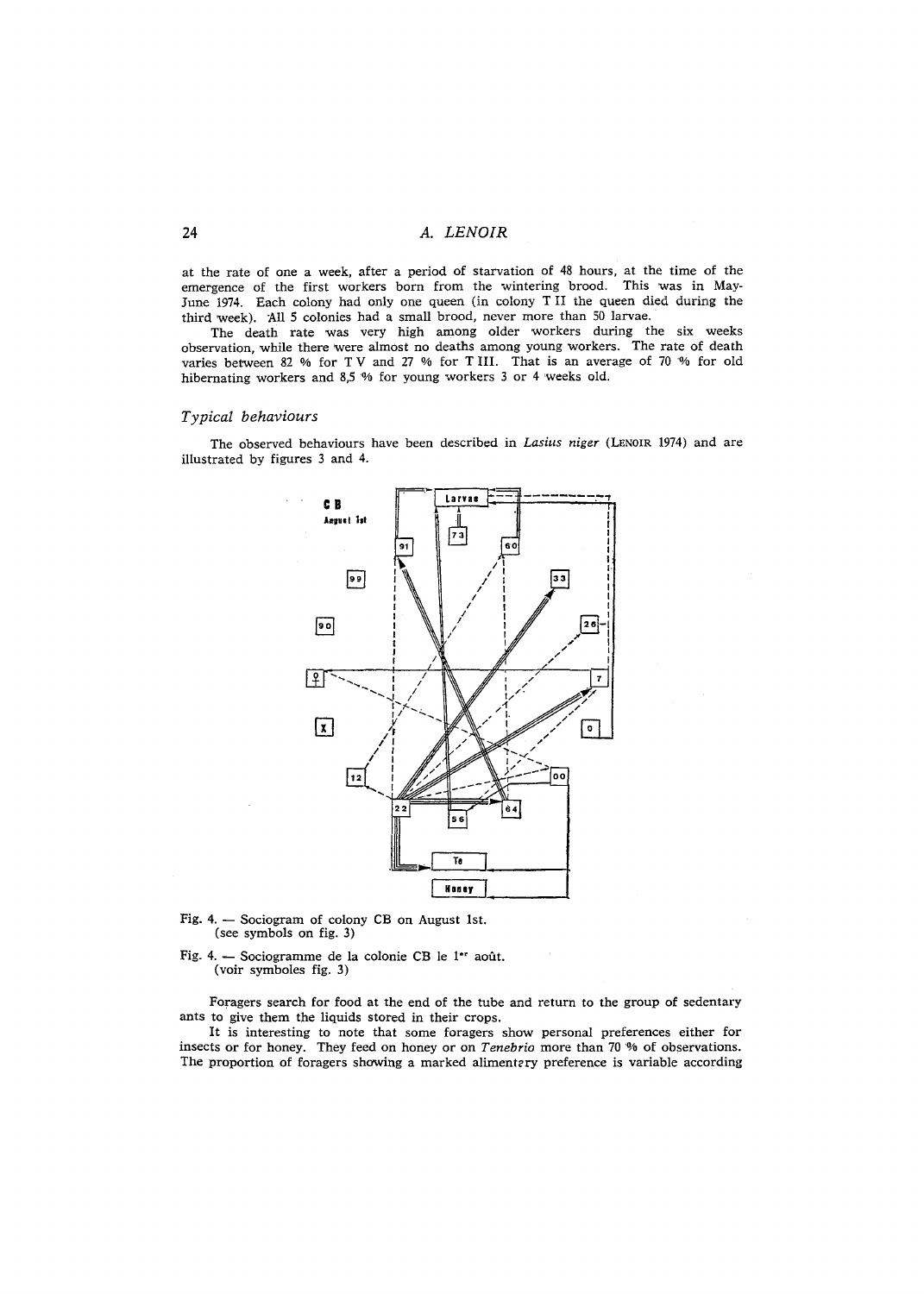**at the rate of one a week, after a period of starvation of 48 hours, at the time of the**  emergence of the first workers born from the wintering brood. This was in May-**June 1974. Each colony had only one queen (in colony T II the queen died during the**  third week). All 5 colonies had a small brood, never more than 50 larvae.

**The death rate xvas very high among older workers during the six weeks**  observation, while there were almost no deaths among young workers. The rate of death varies between 82 % for TV and 27 % for TIII. That is an average of 70 % for old hibernating workers and 8,5 % for young workers 3 or 4 weeks old.

# *Typical behaviours*

**The observed behaviours have been described in** *Lasius niger* **(LENOIR 1974) and are illustrated by figures 3 and** 4.



- **Fig. 4. -- Sociogram of colony CB on August Ist. (see symbols on fig. 3)**
- Fig. 4. Sociogramme de la colonie CB le 1<sup>\*\*</sup> août. **(voir symboles fig. 3)**

**Foragers search for food at the end of the tube and return to the group of sedentary ants to give them the liquids stored in their crops.** 

**It is interesting to note that some foragers show personal preferences either for insects or for honey. They feed on honey or on** *Tenebrio* **more than 70 '% of observations.**  The proportion of foragers showing a marked alimentary preference is variable according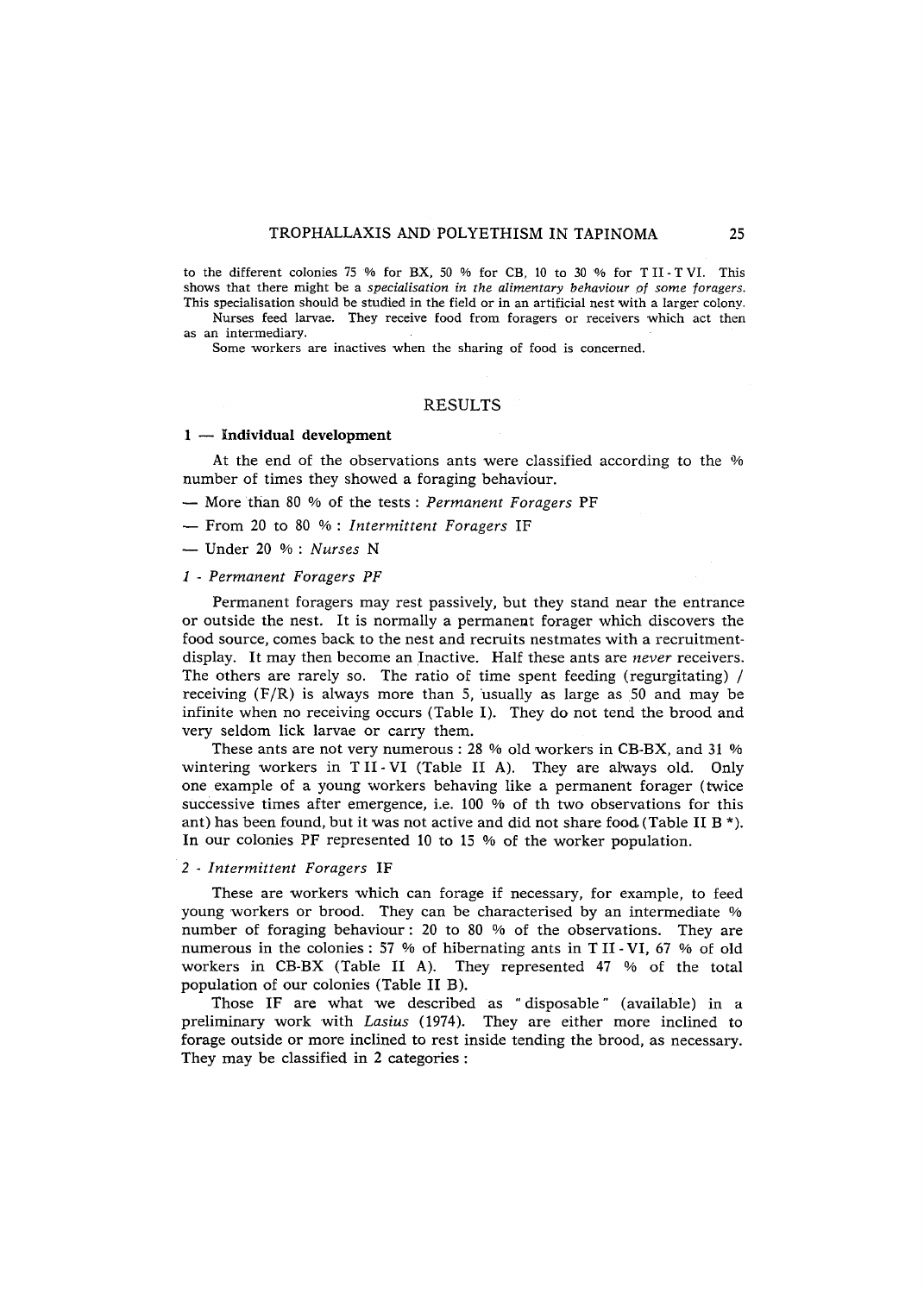to the different colonies 75 % for BX, 50 % for CB, 10 to 30 % for TII-TVI. This shows that there might be a *speeialisation in the alimentary behaviour of some foragers.*  This specialisation should be studied in the field or in an artificial nest with a larger colony.

Nurses feed larvae. They receive food from foragers or receivers which act then as an intermediary.

Some workers are inactives when the sharing of food is concerned.

# RESULTS

## 1 - Individual development

At the end of the observations ants were classified according to the % number of times they showed a foraging behaviour.

- More than 80 % of the tests : *Permanent Foragers* PF
- From 20 to 80 % : *Intermittent Foragers* IF

Under 20 % : *Nurses N* 

# *1 - Permanent Foragers PF*

Permanent foragers may rest passively, but they stand near the entrance or outside the nest. It is normally a permanent forager which discovers the food source, comes back to the nest and recruits nestmates with a recruitmentdisplay. It may then become an Inactive. Half these ants are *never* receivers. The others are rarely so. The ratio of time spent feeding (regurgitating) / receiving  $(F/R)$  is always more than 5, usually as large as 50 and may be infinite when no receiving occurs (Table I). They do not tend the brood and very seldom lick larvae or carry them.

These ants are not very numerous : 28 % old workers in CB-BX, and 31% wintering workers in  $T II - VI$  (Table II A). They are always old. Only one example of a young workers behaving like a permanent forager (twice successive times after emergence, i.e. 100 % of th two observations for this ant) has been found, but it was not active and did not share food (Table II B  $^*$ ). In our colonies PF represented 10 to 15 % of the worker population.

## *2- Intermittent Foragers* IF

These are workers which can forage if necessary, for example, to feed young workers or brood. They can be characterised by an intermediate % number of foraging behaviour: 20 to 80 % of the observations. They are numerous in the colonies : 57 % of hibernating ants in T II - VI, 67 % of old workers in CB-BX (Table II A). They represented 47 % of the total population of our colonies (Table II B).

Those IF are what we described as " disposable" (available) in a preliminary work with *Lasius* (1974). They are either more inclined to forage outside or more inclined to rest inside tending the brood, as necessary. They may be classified in 2 categories :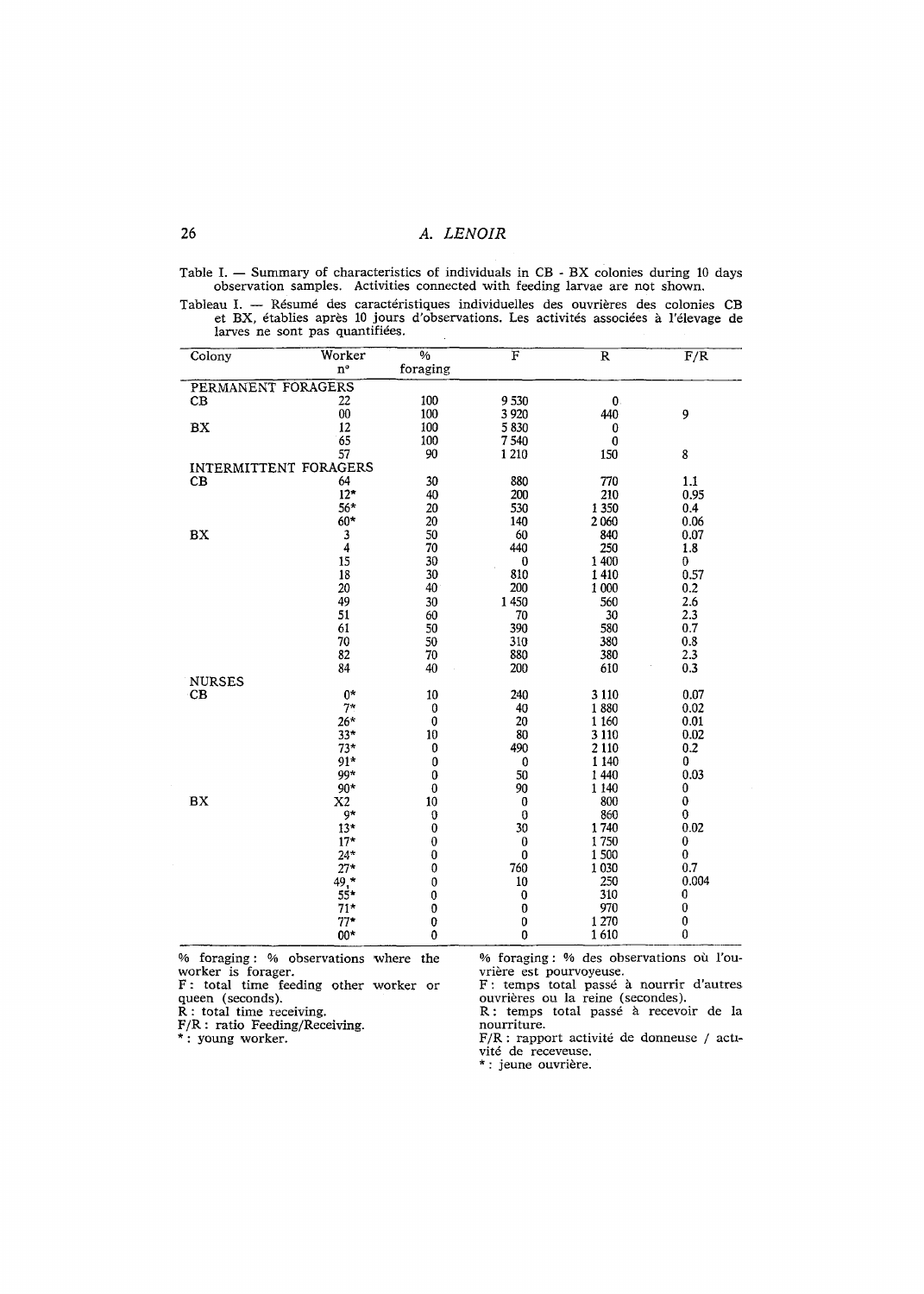Table I. - Summary of characteristics of individuals in CB - BX colonies during 10 days observation samples. Activities connected with feeding larvae are not shown.

Tableau I. — Résumé des caractéristiques individuelles des ouvrières des colonies CB et BX, établies après 10 jours d'observations. Les activités associées à l'élevage de larves ne sont pas quantifiées.

| $n^{\circ}$<br>PERMANENT FORAGERS | foraging                                                                                                                                                                                                                                                                                   |                                                                                                                                                                                                                                                                   |                                                                                                                                                                                                                        | $\overline{F/R}$                                                                                                                                                                                                                                                                                             |
|-----------------------------------|--------------------------------------------------------------------------------------------------------------------------------------------------------------------------------------------------------------------------------------------------------------------------------------------|-------------------------------------------------------------------------------------------------------------------------------------------------------------------------------------------------------------------------------------------------------------------|------------------------------------------------------------------------------------------------------------------------------------------------------------------------------------------------------------------------|--------------------------------------------------------------------------------------------------------------------------------------------------------------------------------------------------------------------------------------------------------------------------------------------------------------|
|                                   |                                                                                                                                                                                                                                                                                            |                                                                                                                                                                                                                                                                   |                                                                                                                                                                                                                        |                                                                                                                                                                                                                                                                                                              |
|                                   |                                                                                                                                                                                                                                                                                            |                                                                                                                                                                                                                                                                   |                                                                                                                                                                                                                        |                                                                                                                                                                                                                                                                                                              |
| 22                                | 100                                                                                                                                                                                                                                                                                        | 9530                                                                                                                                                                                                                                                              | $\mathbf{0}$                                                                                                                                                                                                           |                                                                                                                                                                                                                                                                                                              |
| 00                                | 100                                                                                                                                                                                                                                                                                        | 3 9 20                                                                                                                                                                                                                                                            | 440                                                                                                                                                                                                                    | 9                                                                                                                                                                                                                                                                                                            |
| 12                                | 100                                                                                                                                                                                                                                                                                        | 5830                                                                                                                                                                                                                                                              | 0                                                                                                                                                                                                                      |                                                                                                                                                                                                                                                                                                              |
|                                   |                                                                                                                                                                                                                                                                                            |                                                                                                                                                                                                                                                                   | $\bf{0}$                                                                                                                                                                                                               |                                                                                                                                                                                                                                                                                                              |
|                                   |                                                                                                                                                                                                                                                                                            |                                                                                                                                                                                                                                                                   | 150                                                                                                                                                                                                                    | 8                                                                                                                                                                                                                                                                                                            |
|                                   |                                                                                                                                                                                                                                                                                            |                                                                                                                                                                                                                                                                   |                                                                                                                                                                                                                        |                                                                                                                                                                                                                                                                                                              |
| 64                                | 30                                                                                                                                                                                                                                                                                         | 880                                                                                                                                                                                                                                                               | 770                                                                                                                                                                                                                    | 1.1                                                                                                                                                                                                                                                                                                          |
|                                   | 40                                                                                                                                                                                                                                                                                         |                                                                                                                                                                                                                                                                   | 210                                                                                                                                                                                                                    | 0.95                                                                                                                                                                                                                                                                                                         |
| 56*                               | 20                                                                                                                                                                                                                                                                                         | 530                                                                                                                                                                                                                                                               |                                                                                                                                                                                                                        | 0.4                                                                                                                                                                                                                                                                                                          |
|                                   |                                                                                                                                                                                                                                                                                            | 140                                                                                                                                                                                                                                                               |                                                                                                                                                                                                                        | 0.06                                                                                                                                                                                                                                                                                                         |
|                                   |                                                                                                                                                                                                                                                                                            |                                                                                                                                                                                                                                                                   |                                                                                                                                                                                                                        | 0.07                                                                                                                                                                                                                                                                                                         |
| 4                                 | 70                                                                                                                                                                                                                                                                                         | 440                                                                                                                                                                                                                                                               | 250                                                                                                                                                                                                                    | 1.8                                                                                                                                                                                                                                                                                                          |
|                                   | 30                                                                                                                                                                                                                                                                                         | $\bf{0}$                                                                                                                                                                                                                                                          | 1 400                                                                                                                                                                                                                  | 0                                                                                                                                                                                                                                                                                                            |
|                                   |                                                                                                                                                                                                                                                                                            |                                                                                                                                                                                                                                                                   |                                                                                                                                                                                                                        | 0.57                                                                                                                                                                                                                                                                                                         |
|                                   |                                                                                                                                                                                                                                                                                            |                                                                                                                                                                                                                                                                   |                                                                                                                                                                                                                        | 0.2                                                                                                                                                                                                                                                                                                          |
|                                   |                                                                                                                                                                                                                                                                                            |                                                                                                                                                                                                                                                                   |                                                                                                                                                                                                                        | 2.6                                                                                                                                                                                                                                                                                                          |
|                                   |                                                                                                                                                                                                                                                                                            |                                                                                                                                                                                                                                                                   |                                                                                                                                                                                                                        | 2.3                                                                                                                                                                                                                                                                                                          |
|                                   |                                                                                                                                                                                                                                                                                            |                                                                                                                                                                                                                                                                   |                                                                                                                                                                                                                        | 0.7                                                                                                                                                                                                                                                                                                          |
|                                   |                                                                                                                                                                                                                                                                                            |                                                                                                                                                                                                                                                                   |                                                                                                                                                                                                                        | 0.8                                                                                                                                                                                                                                                                                                          |
|                                   |                                                                                                                                                                                                                                                                                            |                                                                                                                                                                                                                                                                   |                                                                                                                                                                                                                        | 2.3                                                                                                                                                                                                                                                                                                          |
|                                   |                                                                                                                                                                                                                                                                                            |                                                                                                                                                                                                                                                                   |                                                                                                                                                                                                                        | 0.3                                                                                                                                                                                                                                                                                                          |
|                                   |                                                                                                                                                                                                                                                                                            |                                                                                                                                                                                                                                                                   |                                                                                                                                                                                                                        |                                                                                                                                                                                                                                                                                                              |
|                                   |                                                                                                                                                                                                                                                                                            |                                                                                                                                                                                                                                                                   |                                                                                                                                                                                                                        | 0.07                                                                                                                                                                                                                                                                                                         |
|                                   |                                                                                                                                                                                                                                                                                            |                                                                                                                                                                                                                                                                   |                                                                                                                                                                                                                        | 0.02                                                                                                                                                                                                                                                                                                         |
|                                   |                                                                                                                                                                                                                                                                                            |                                                                                                                                                                                                                                                                   |                                                                                                                                                                                                                        | 0.01                                                                                                                                                                                                                                                                                                         |
|                                   |                                                                                                                                                                                                                                                                                            |                                                                                                                                                                                                                                                                   |                                                                                                                                                                                                                        | 0.02                                                                                                                                                                                                                                                                                                         |
|                                   |                                                                                                                                                                                                                                                                                            |                                                                                                                                                                                                                                                                   |                                                                                                                                                                                                                        | 0.2                                                                                                                                                                                                                                                                                                          |
|                                   |                                                                                                                                                                                                                                                                                            |                                                                                                                                                                                                                                                                   |                                                                                                                                                                                                                        | 0                                                                                                                                                                                                                                                                                                            |
|                                   |                                                                                                                                                                                                                                                                                            |                                                                                                                                                                                                                                                                   |                                                                                                                                                                                                                        | 0.03                                                                                                                                                                                                                                                                                                         |
|                                   |                                                                                                                                                                                                                                                                                            |                                                                                                                                                                                                                                                                   |                                                                                                                                                                                                                        | 0                                                                                                                                                                                                                                                                                                            |
|                                   |                                                                                                                                                                                                                                                                                            |                                                                                                                                                                                                                                                                   |                                                                                                                                                                                                                        | 0                                                                                                                                                                                                                                                                                                            |
|                                   |                                                                                                                                                                                                                                                                                            |                                                                                                                                                                                                                                                                   |                                                                                                                                                                                                                        | 0                                                                                                                                                                                                                                                                                                            |
|                                   |                                                                                                                                                                                                                                                                                            |                                                                                                                                                                                                                                                                   |                                                                                                                                                                                                                        | 0.02                                                                                                                                                                                                                                                                                                         |
|                                   |                                                                                                                                                                                                                                                                                            |                                                                                                                                                                                                                                                                   |                                                                                                                                                                                                                        | 0                                                                                                                                                                                                                                                                                                            |
|                                   |                                                                                                                                                                                                                                                                                            |                                                                                                                                                                                                                                                                   |                                                                                                                                                                                                                        | 0                                                                                                                                                                                                                                                                                                            |
|                                   |                                                                                                                                                                                                                                                                                            |                                                                                                                                                                                                                                                                   |                                                                                                                                                                                                                        | 0.7                                                                                                                                                                                                                                                                                                          |
|                                   |                                                                                                                                                                                                                                                                                            |                                                                                                                                                                                                                                                                   |                                                                                                                                                                                                                        | 0.004                                                                                                                                                                                                                                                                                                        |
|                                   |                                                                                                                                                                                                                                                                                            |                                                                                                                                                                                                                                                                   |                                                                                                                                                                                                                        | 0                                                                                                                                                                                                                                                                                                            |
|                                   |                                                                                                                                                                                                                                                                                            |                                                                                                                                                                                                                                                                   |                                                                                                                                                                                                                        | $\bf{0}$                                                                                                                                                                                                                                                                                                     |
|                                   |                                                                                                                                                                                                                                                                                            |                                                                                                                                                                                                                                                                   |                                                                                                                                                                                                                        | 0                                                                                                                                                                                                                                                                                                            |
|                                   |                                                                                                                                                                                                                                                                                            |                                                                                                                                                                                                                                                                   |                                                                                                                                                                                                                        | $\bf{0}$                                                                                                                                                                                                                                                                                                     |
|                                   |                                                                                                                                                                                                                                                                                            |                                                                                                                                                                                                                                                                   |                                                                                                                                                                                                                        |                                                                                                                                                                                                                                                                                                              |
|                                   | 65<br>57<br>INTERMITTENT FORAGERS<br>$12*$<br>$60*$<br>3<br>15<br>18<br>20<br>49<br>51<br>61<br>70<br>82<br>84<br>$0*$<br>$7*$<br>$26*$<br>$33*$<br>$73*$<br>$91*$<br>99*<br>$90*$<br>X <sub>2</sub><br>9*<br>$13*$<br>$17*$<br>$24*$<br>$27*$<br>49.*<br>$55*$<br>$71*$<br>$77*$<br>$00*$ | 100<br>90<br>20<br>50<br>30<br>40<br>30<br>60<br>50<br>50<br>70<br>40<br>10<br>$\bf{0}$<br>0<br>10<br>0<br>0<br>0<br>$\bf{0}$<br>10<br>$\boldsymbol{0}$<br>$\bf{0}$<br>$\bf{0}$<br>$\bf{0}$<br>0<br>0<br>0<br>0<br>0<br>0<br>% foraging: % observations where the | 7540<br>1 2 1 0<br>200<br>60<br>810<br>200<br>1450<br>70<br>390<br>310<br>880<br>200<br>240<br>40<br>20<br>80<br>490<br>0<br>50<br>90<br>$\bf{0}$<br>$\boldsymbol{0}$<br>30<br>0<br>0<br>760<br>10<br>0<br>0<br>0<br>0 | 1 3 5 0<br>2 0 6 0<br>840<br>1410<br>1 000<br>560<br>30<br>580<br>380<br>380<br>610<br>3 1 1 0<br>1880<br>1 1 6 0<br>3 1 1 0<br>2 1 1 0<br>1 1 4 0<br>1 4 4 0<br>1 1 4 0<br>800<br>860<br>1740<br>1750<br>1500<br>1 0 3 0<br>250<br>310<br>970<br>1 2 7 0<br>1610<br>% foraging: % des observations où l'ou- |

F : total time feeding other worker or

queen (seconds).

R: total time receiving. **F/R:** ratio Feeding/Receiving.

\* : young worker.

F: temps total passé à nourrir d'autres ouvrières ou la reine (secondes).

R: temps total passé à recevoir de la nourriture.

 $F/R$ : rapport activité de donneuse / activit6 de receveuse.

\* : jeune ouvrière.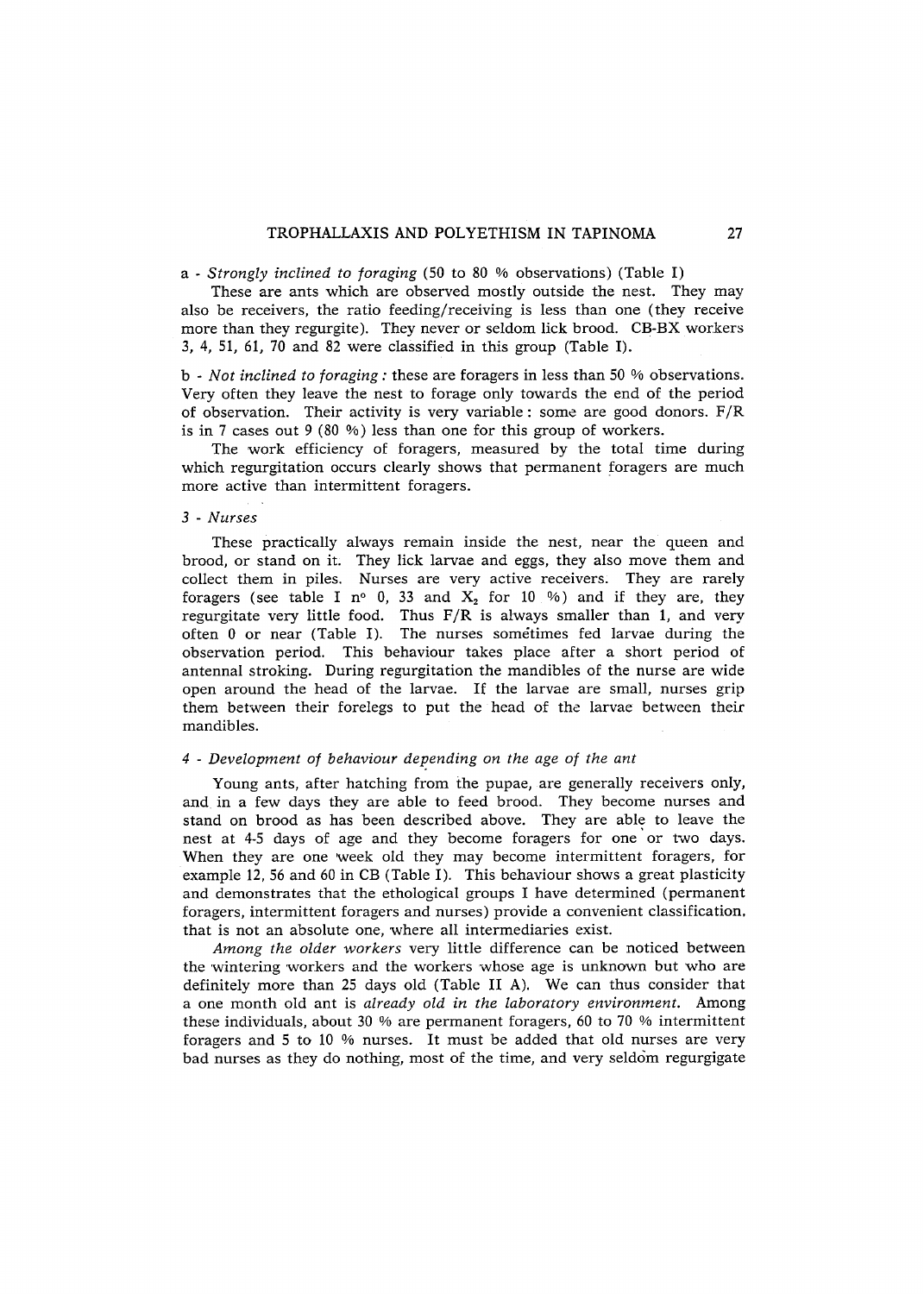## TROPHALLAXIS AND POLYETHISM IN TAPINOMA 27

# *a - Strongly inclined to foraging* (50 to 80 % observations) (Table I)

These are ants which are observed mostly outside the nest. They may also be receivers, the ratio feeding/receiving is less than one (they receive more than they regurgite). They never or seldom lick brood. CB-BX workers 3, 4, 51, 61, 70 and 82 were classified in this group (Table I).

*b - Not inclined to 1oraging :* these are foragers in less than 50 % observations. Very often they leave the nest to forage only towards the end of the period of observation. Their activity is very variable: some are good donors. F/R is in 7 cases out 9 (80 %) less than one for this group of workers.

The work efficiency of foragers, measured by the total time during which regurgitation occurs clearly shows that permanent foragers are much more active than intermittent foragers.

## *3 - Nurses*

These practically always remain inside the nest, near the queen and brood, or stand on it, They lick larvae and eggs, they also move them and collect them in piles. Nurses are very active receivers, They are rarely foragers (see table I nº 0, 33 and  $X_2$  for 10 %) and if they are, they regurgitate very little food. Thus  $F/R$  is always smaller than 1, and very often  $0$  or near (Table I). The nurses sometimes fed larvae during the observation period. This behaviour takes place after a short period of antennal stroking. During regurgitation the mandibles of the nurse are wide open around the head of the larvae. If the larvae are small, nurses grip them between their forelegs to put the head of the larvae between their mandibles.

# *4 - Development of behaviour depending on the age of the ant*

Young ants, after hatching from the pupae, are generally receivers only, and in a few days they are able to feed brood. They become nurses and stand on brood as has been described above. They are able to leave the nest at 4-5 days of age and they become foragers for one or two days. When they are one week old they may become intermittent foragers, for example 12, 56 and 60 in CB (Table I). This behaviour shows a great plasticity and demonstrates that the ethological groups I have determined (permanent foragers, intermittent foragers and nurses) provide a convenient classification. that is not an absolute one, where all intermediaries exist.

*Among the older workers* very little difference can be noticed between the wintering workers and the workers whose age is unknown but who are definitely more than 25 days old (Table II A). We can thus consider that a one month old ant is *already old in the laboratory environment.* Among these individuals, about 30 % are permanent foragers, 60 to 70 % intermittent foragers and 5 to 10 % nurses. It must be added that old nurses are very bad nurses as they do nothing, most of the time, and very seldom regurgigate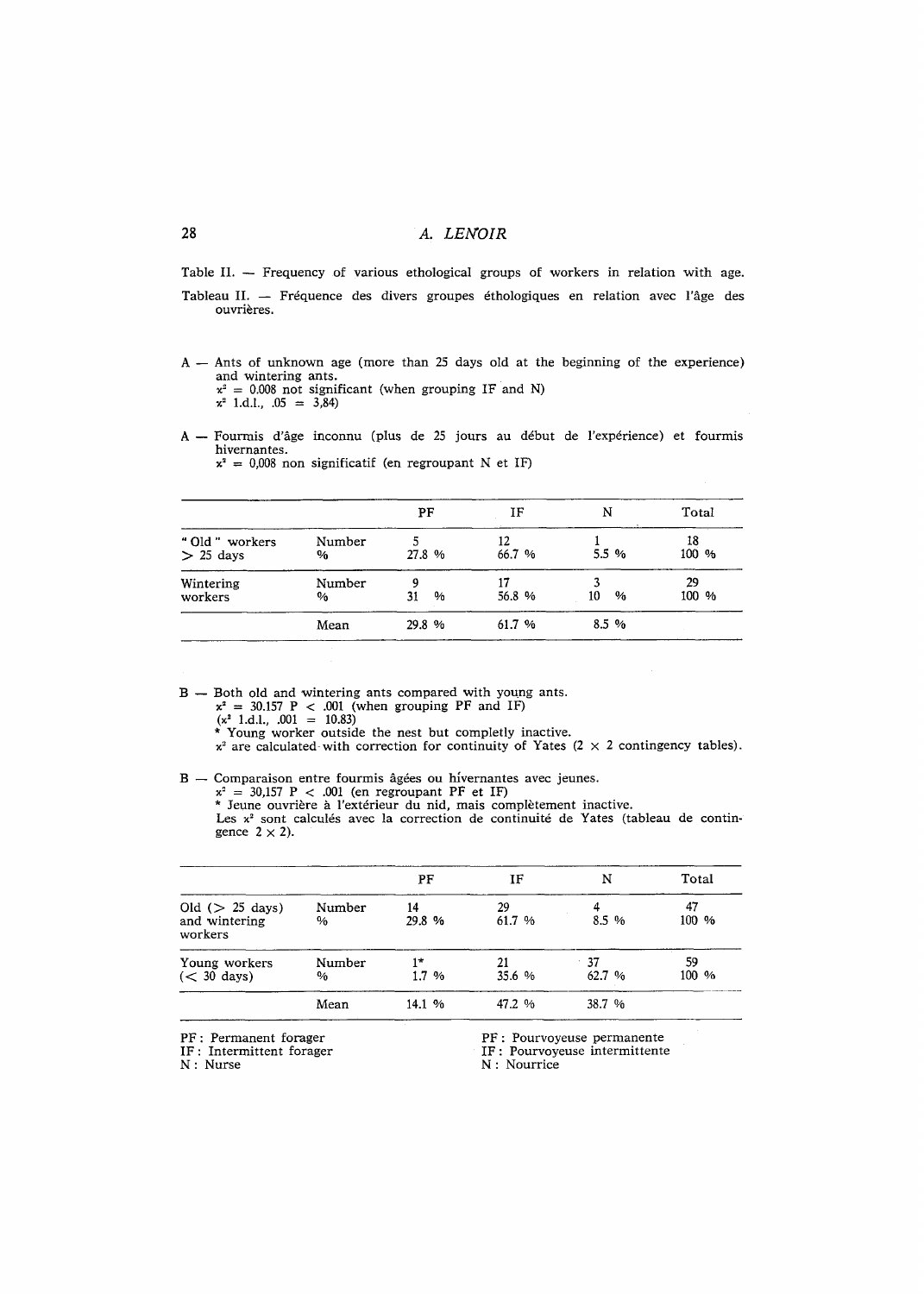## 28 *A. LEIVOIR*

Table II. -- Frequency of various ethological groups of workers in relation with age. Tableau II. -- Fréquence des divers groupes éthologiques en relation avec l'âge des ouvrières.

- $A A$ nts of unknown age (more than 25 days old at the beginning of the experience) and wintering ants.  $x^2 = 0.008$  not significant (when grouping IF and N)  $x^2$  1.d.l.,  $.05 = 3,84$ )
- A Fourmis d'âge inconnu (plus de 25 jours au début de l'expérience) et fourmis hivernantes.  $x^2 = 0,008$  non significatif (en regroupant N et IF)

|                               |                         | PF         | IF           | N       | Total       |
|-------------------------------|-------------------------|------------|--------------|---------|-------------|
| "Old " workers<br>$> 25$ days | Number<br>$\frac{9}{6}$ | 27.8 %     | 12<br>66.7 % | $5.5\%$ | 18<br>100 % |
| Wintering<br>workers          | Number<br>$\frac{1}{2}$ | $\%$<br>31 | 56.8%        | %<br>10 | 29<br>100 % |
|                               | Mean                    | 29.8 %     | 61.7 %       | $8.5\%$ |             |

- **B --**  Both old and wintering ants compared with young ants.  $x^2 = 30.157$  P < .001 (when grouping PF and IF)  $(x^2 \text{ 1.d.1., } .001 = 10.83)$ \* Young worker outside the nest but completly inactive.
	- $x^2$  are calculated with correction for continuity of Yates (2  $\times$  2 contingency tables).
- **B** Comparaison entre fourmis âgées ou hivernantes avec jeunes.  $x^2$  = 30,157 P < .001 (en regroupant PF et IF) \* Jeune ouvrière à l'extérieur du nid, mais complètement inactive. Les  $x^2$  sont calculés avec la correction de continuité de Yates (tableau de contin gence  $2 \times 2$ ).

|                                                  |                | PF              | IF             | N           | Total       |
|--------------------------------------------------|----------------|-----------------|----------------|-------------|-------------|
| Old $($ $>$ 25 days)<br>and wintering<br>workers | Number<br>$\%$ | 14<br>29.8 %    | 29<br>61.7 %   | 8.5%        | 47<br>100 % |
| Young workers<br>$(< 30 \text{ days})$           | Number<br>%    | $1*$<br>$1.7\%$ | 21<br>35.6 $%$ | 37<br>62.7% | 59<br>100 % |
|                                                  | Mean           | 14.1 %          | 47.2%          | 38.7 %      |             |

PF : Permanent forager

IF : Intermittent forager

N : Nurse

PF : Pourvoyeuse permanente

IF : Pourvoyeuse intermittente

N : Nourrice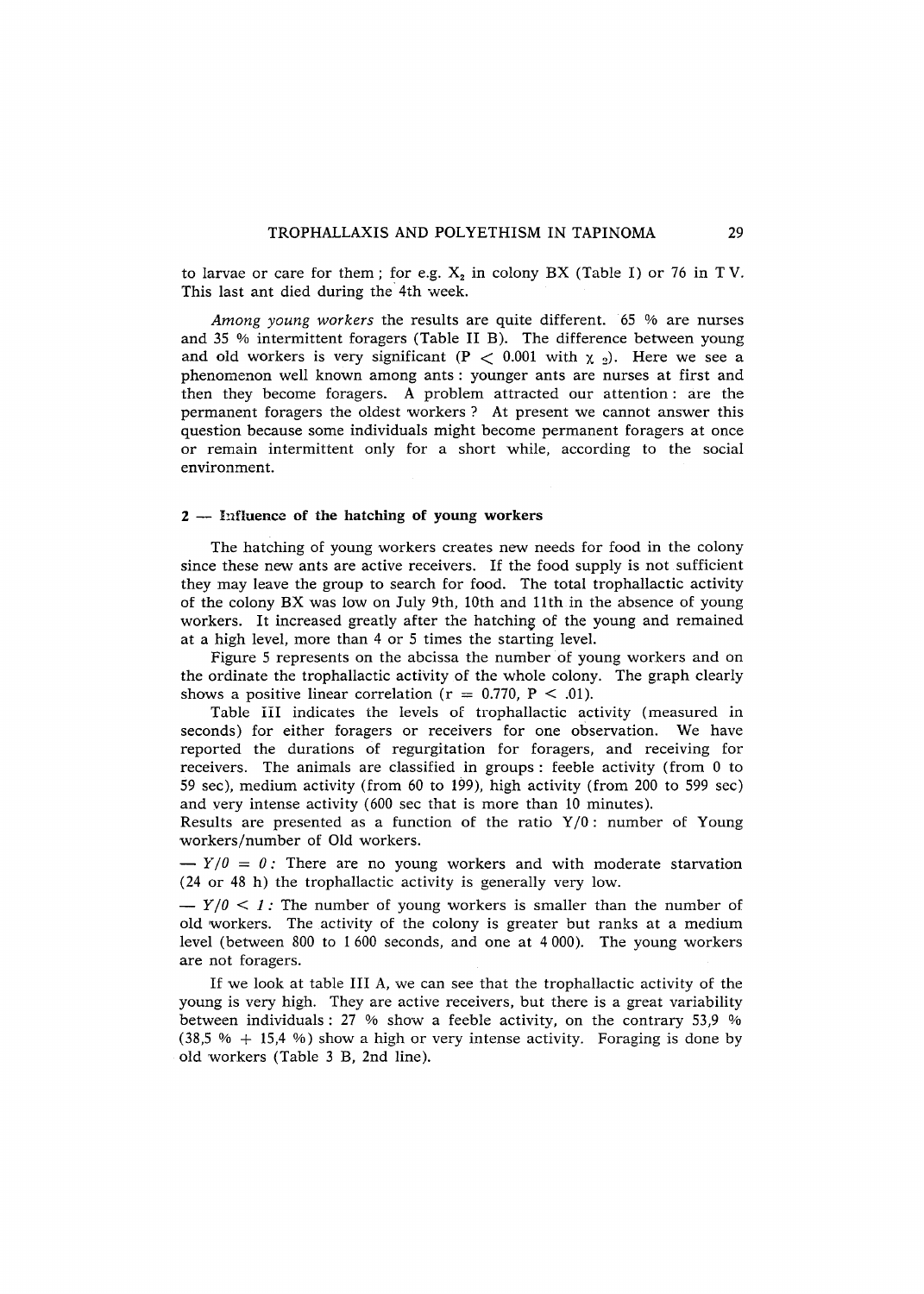to larvae or care for them; for e.g.  $X_2$  in colony BX (Table I) or 76 in TV. This last ant died during the 4th week.

*Among young workers* the results are quite different. 65 % are nurses and 35 % intermittent foragers (Table II B). The difference between young and old workers is very significant (P  $<$  0.001 with  $\chi$  <sub>2</sub>). Here we see a phenomenon well known among ants: younger ants are nurses at first and then they become foragers. A problem attracted our attention: are the permanent foragers the oldest workers ? At present we cannot answer this question because some individuals might become permanent foragers at once or remain intermittent only for a short while, according to the social environment.

# **2 -- Influence of the hatching of young workers**

The hatching of young workers creates new needs for food in the colony since these new ants are active receivers. If the food supply is not sufficient they may leave the group to search for food. The total trophallactic activity of the colony BX was low on July 9th, 10th and llth in the absence of young workers. It increased greatly after the hatching of the young and remained at a high level, more than 4 or 5 times the starting level.

Figure 5 represents on the abcissa the number of young workers and on the ordinate the trophallactic activity of the whole colony. The graph clearly shows a positive linear correlation ( $r = 0.770$ ,  $P < .01$ ).

Table iiI indicates the levels oF trophallactic activity (measured in seconds) for either foragers or receivers for one observation. We have reported the durations of regurgitation for foragers, and receiving for receivers. The animals are classified in groups: feeble activity (from 0 to 59 see), medium activity (from 60 to 199), high activity (from 200 to 599 sec) and very intense activity (600 sec that is more than 10 minutes).

Results are presented as a function of the ratio  $Y/0$ : number of Young workers/number of Old workers.

 $-Y/0 = 0$ : There are no young workers and with moderate starvation (24 or 48 h) the trophallactic activity is generally very low.

*-- Y/O < 1 :* The number of young workers is smaller than the number of old ,workers. The activity of the colony is greater but ranks at a medium level (between 800 to 1 600 seconds, and one at 4 000). The young workers are not foragers.

If 'we look at table III A, we can see that the trophallactic activity of the young is very high. They are active receivers, but there is a great variability between individuals: 27 % show a feeble activity, on the contrary 53,9 %  $(38.5 \, % + 15.4 \, %)$  show a high or very intense activity. Foraging is done by old workers (Table 3 B, 2nd line).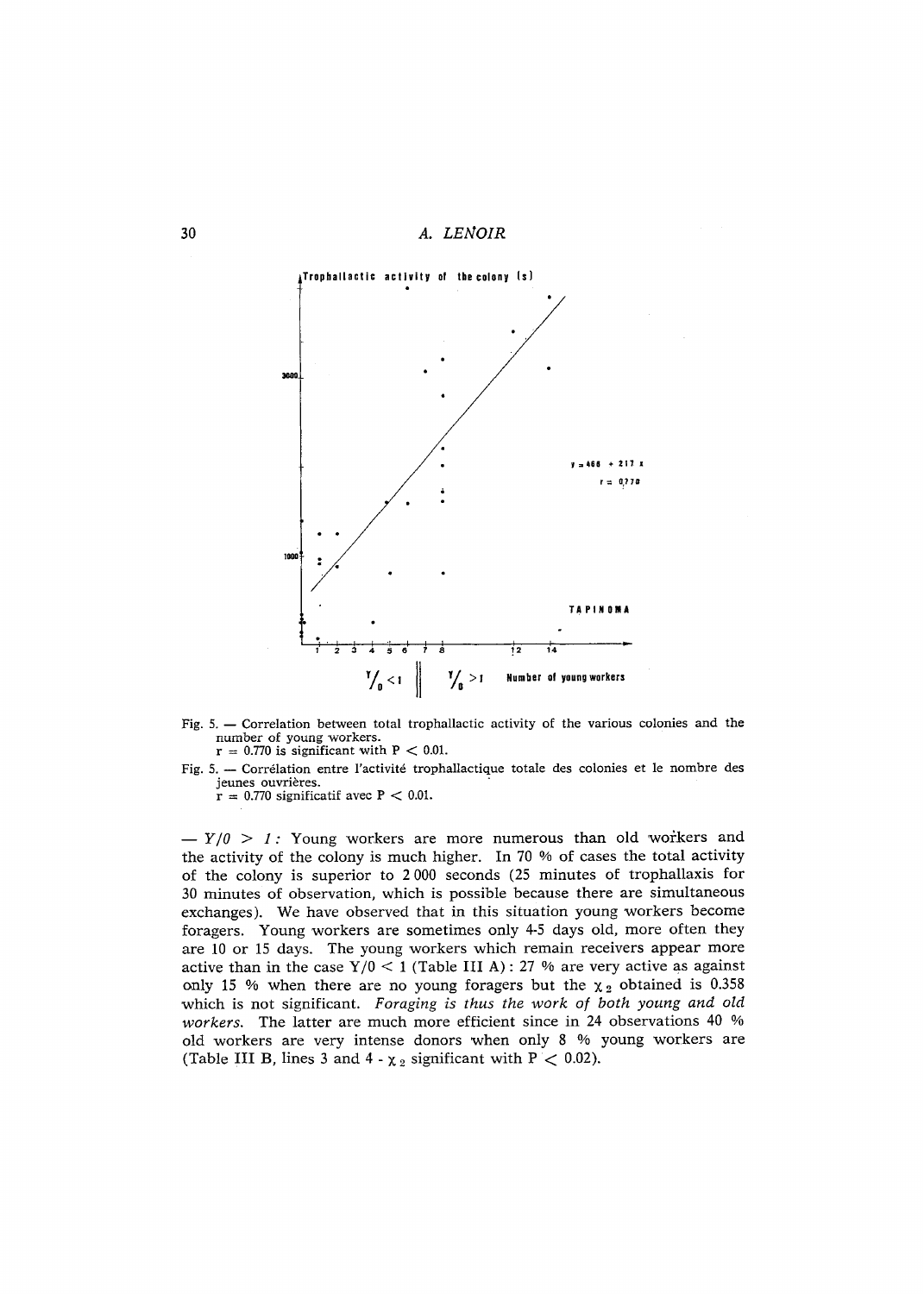

- Fig. 5. -- Correlation between total trophallactic activity of the various colonies and the number of young workers.  $r = 0.770$  is significant with P < 0.01.
- Fig. 5. -- Corrélation entre l'activité trophallactique totale des colonies et le nombre des jeunes ouvrières.

 $r = 0.770$  significatif avec P < 0.01.

 $-Y/0$  > 1: Young workers are more numerous than old workers and the activity of the colony is much higher. In 70 % of cases the total activity of the colony is superior to 2 000 seconds (25 minutes of trophallaxis for 30 minutes of observation, which is possible because there are simultaneous exchanges). We have observed that in this situation young workers become foragers. Young workers are sometimes only 4-5 days old, more often they are 10 or 15 days. The young workers which remain receivers appear more active than in the case  $Y/0 < 1$  (Table III A): 27 % are very active as against only 15 % when there are no young foragers but the  $\chi_2$  obtained is 0.358 which is not significant. Foraging is thus the work of both young and old *workers.* The latter are much more efficient since in 24 observations 40 % old workers are very intense donors when only 8 % young workers are (Table III B, lines 3 and 4 -  $\chi_2$  significant with P < 0.02).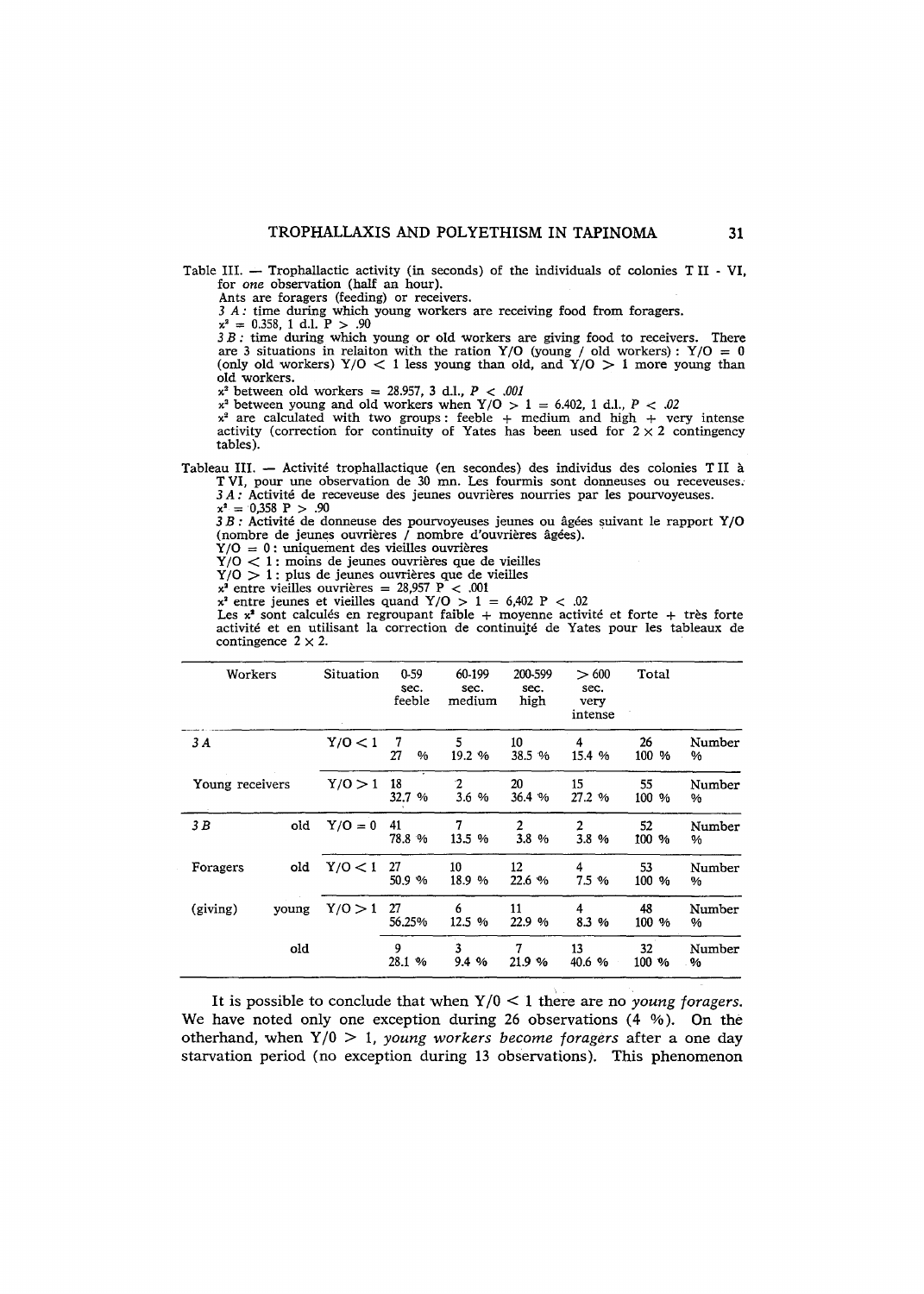

Ants are foragers (feeding) or receivers.

3 A : time during which young workers are receiving food from foragers.

 $x^2 = 0.358, 1$  d.l.  $P > .90$ 

3 B : time during which young or old workers are giving food to receivers. There are 3 situations in relaiton with the ration Y/O (young / old workers):  $Y/O = 0$ (only old workers)  $Y/O < 1$  less young than old, and  $Y/O > 1$  more young than old workers.

 $x^2$  between old workers = 28.957, 3 d.l.,  $P < .001$ 

 $x^2$  between young and old workers when  $Y/O > 1 = 6.402, 1$  d.l.,  $P < .02$ 

 $x^2$  are calculated with two groups: feeble + medium and high + very intense activity (correction for continuity of Yates has been used for  $2 \times 2$  contingency tables).

Tableau III. -- Activitd trophallactique (en secondes) des individus des colonies T II T VI, pour une observation de 30 nan. Les fourmis sont douneuses ou receveuses: 3 A : Activité de receveuse des jeunes ouvrières nourries par les pourvoyeuses.  $x^2 = 0.358 \text{ P} > .90$ 

 $3B$  : Activité de donneuse des pourvoyeuses jeunes ou âgées suivant le rapport Y/O (nombre de jeunes ouvrières / nombre d'ouvrières âgées).

 $Y/O = 0$ : uniquement des vieilles ouvrières

 $Y/O < 1$ : moins de jeunes ouvrières que de vieilles

 $Y/O > 1$ : plus de jeunes ouvrières que de vieilles

 $x^2$  entre vieilles ouvrières = 28,957 P < .001

 $x^2$  entre jeunes et vieilles quand  $Y/O > 1 = 6,402$  P < .02

Les  $x^2$  sont calculés en regroupant faible + moyenne activité et forte + très forte activité et en utilisant la correction de continuité de Yates pour les tableaux de contingence  $2 \times 2$ .

| Workers         |       | Situation | $0 - 59$<br>sec.<br>feeble | 60-199<br>sec.<br>medium | 200-599<br>sec.<br>high | >600<br>sec.<br>very<br>intense | Total       |                           |
|-----------------|-------|-----------|----------------------------|--------------------------|-------------------------|---------------------------------|-------------|---------------------------|
| 3A              |       | Y/O < 1   | 7<br>27<br>$\%$            | 5<br>19.2 %              | 10<br>38.5 %            | 4<br>15.4 %                     | 26<br>100 % | Number<br>%               |
| Young receivers |       | Y/O > 1   | ٠<br>18<br>32.7 %          | $\mathbf{2}$<br>3.6 %    | 20<br>36.4 %            | 15<br>27.2 %                    | 55<br>100 % | Number<br>%               |
| 3B              | old   | $Y/O = 0$ | 41<br>78.8 %               | 7<br>13.5 %              | 2<br>3.8 %              | 2<br>3.8 %                      | 52<br>100 % | Number<br>$\mathcal{V}_0$ |
| Foragers        | old   | Y/0 < 1   | 27<br>50.9 %               | 10<br>18.9 %             | 12<br>22.6 %            | 4<br>7.5 %                      | 53<br>100 % | Number<br>%               |
| (giving)        | young | Y/O > 1   | 27<br>56.25%               | 6<br>12.5 %              | 11<br>22.9 %            | 4<br>8.3 %                      | 48<br>100 % | Number<br>%               |
|                 | old   |           | 9<br>28.1 %                | 3<br>9.4 %               | 7<br>21.9 %             | 13<br>40.6 %                    | 32<br>100 % | Number<br>%               |

It is possible to conclude that when Y/0 < 1 there are no *young foragers.*  We have noted only one exception during 26 observations (4 %). On the otherhand, xvhen Y/0 > 1, *young workers become foragers* after a one day starvation period (no exception during 13 observations). This phenomenon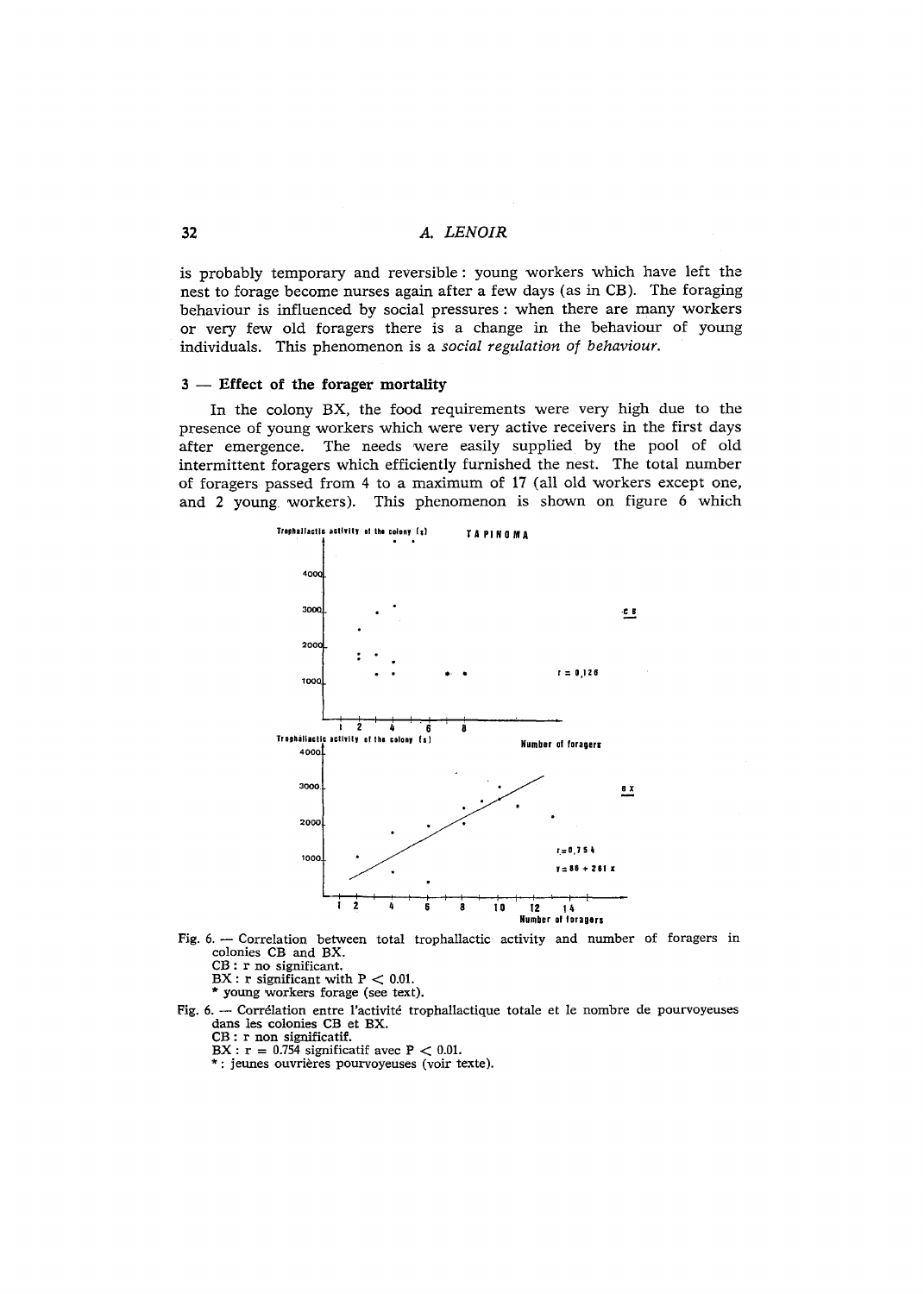is probably temporary and reversible: young workers which have left the nest to forage become nurses again after a few days (as in CB). The foraging behaviour is influenced by social pressures: when there are many workers or very few old foragers there is a change in the behaviour of young individuals. This phenomenon is a *social regulation of behaviour.* 

## **3 -- Effect of the forager mortality**

In the colony BX, the food requirements were very high due to the presence of young workers which were very active receivers in the first days after emergence. The needs were easily supplied by the pool of old intermittent foragers which efficiently furnished the nest. The total number of foragers passed from 4 to a maximum of 17 (all old workers except one, and 2 young workers). This phenomenon is shown on figure 6 which



- Fig. 6. Correlation between total trophallactic activity and number of foragers in colonies CB and BX.
	- CB : r no significant.

 $BX: r$  significant with  $P < 0.01$ .

\* young workers forage (see text).

- Fig. 6. -- Corrélation entre l'activité trophallactique totale et le nombre de pourvoyeuses dans les colonies CB et BX.
	- CB : r non significatif.
	- BX :  $r = 0.754$  significatif avec  $P < 0.01$ .
	- \* : jeunes ouvrières pourvoyeuses (voir texte).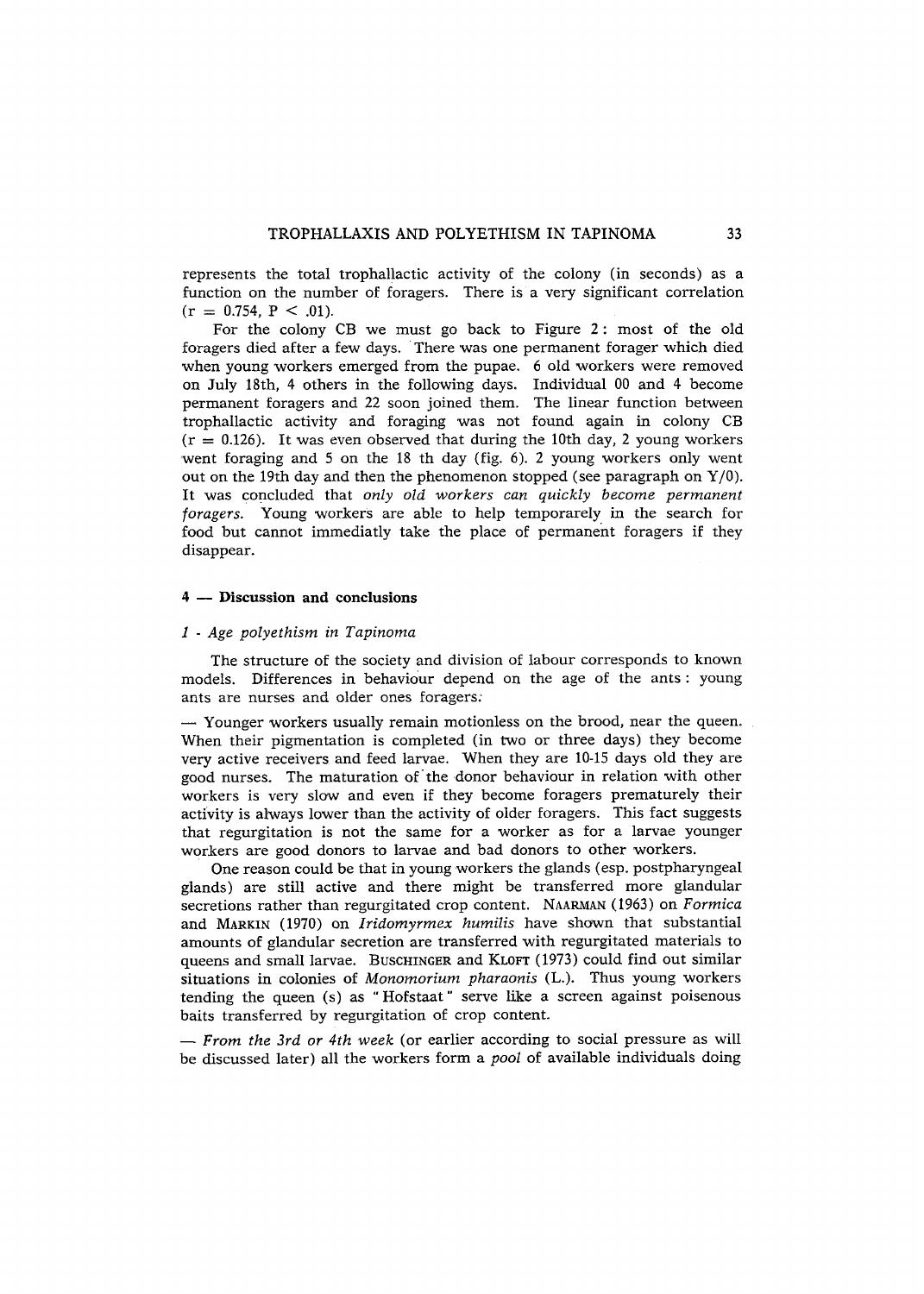represents the total trophallactic activity of the colony (in seconds) as a function on the number of foragers. There is a very significant correlation  $(r = 0.754, P < .01).$ 

For the colony CB we must go back to Figure 2: most of the old foragers died after a few days. There was one permanent forager which died when young workers emerged from the pupae. 6 old workers were removed on July 18th, 4 others in the following days. Individual 00 and 4 become permanent foragers and 22 soon joined them. The linear function between trophallactic activity and foraging was not found again in colony CB  $(r = 0.126)$ . It was even observed that during the 10th day, 2 young workers went foraging and 5 on the 18 th day (fig. 6). 2 young workers only went out on the 19th day and then the phenomenon stopped (see paragraph on Y/0). It was concluded that *only old workers can quickly become permanent foragers.* Young workers are able to help temporarely in the search for food but cannot immediatly take the place of permanent foragers if they disappear.

# **4 -- Discussion and conclusions**

# *I - Age polyethism in Tapinoma*

The structure of the society and division of labour corresponds to known models. Differences in behaviour depend on the age of the ants: young ants are nurses and older ones foragers:

Younger workers usually remain motionless on the brood, near the queen. When their pigmentation is completed (in two or three days) they become very active receivers and feed larvae. When they are 10-15 days old they are good nurses. The maturation of'the donor behaviour in relation with other workers is very slow and even if they become foragers prematurely their activity is always lower than the activity of older foragers. This fact suggests that regurgitation is not the same for a worker as for a larvae younger workers are good donors to larvae and bad donors to other workers.

One reason could be that in young workers the glands (esp. postpharyngeal glands) are still active and there might be transferred more glandular secretions rather than regurgitated crop content. NAARMAN (1963) on *Formica*  and MARKIN (1970) on *Iridomyrmex humilis* have shown that substantial amounts of glandular secretion are transferred with regurgitated materials to queens and small larvae. BUSCHINGER and KLOFT (1973) could find out similar situations in colonies of *Monomorium pharaonis* (L.). Thus young workers tending the queen (s) as "Hofstaat" serve like a screen against poisenous baits transferred by regurgitation of crop content.

*From the 3rd or 4th week* (or earlier according to social pressure as will be discussed later) a11 the workers form a *pool* of available individuals doing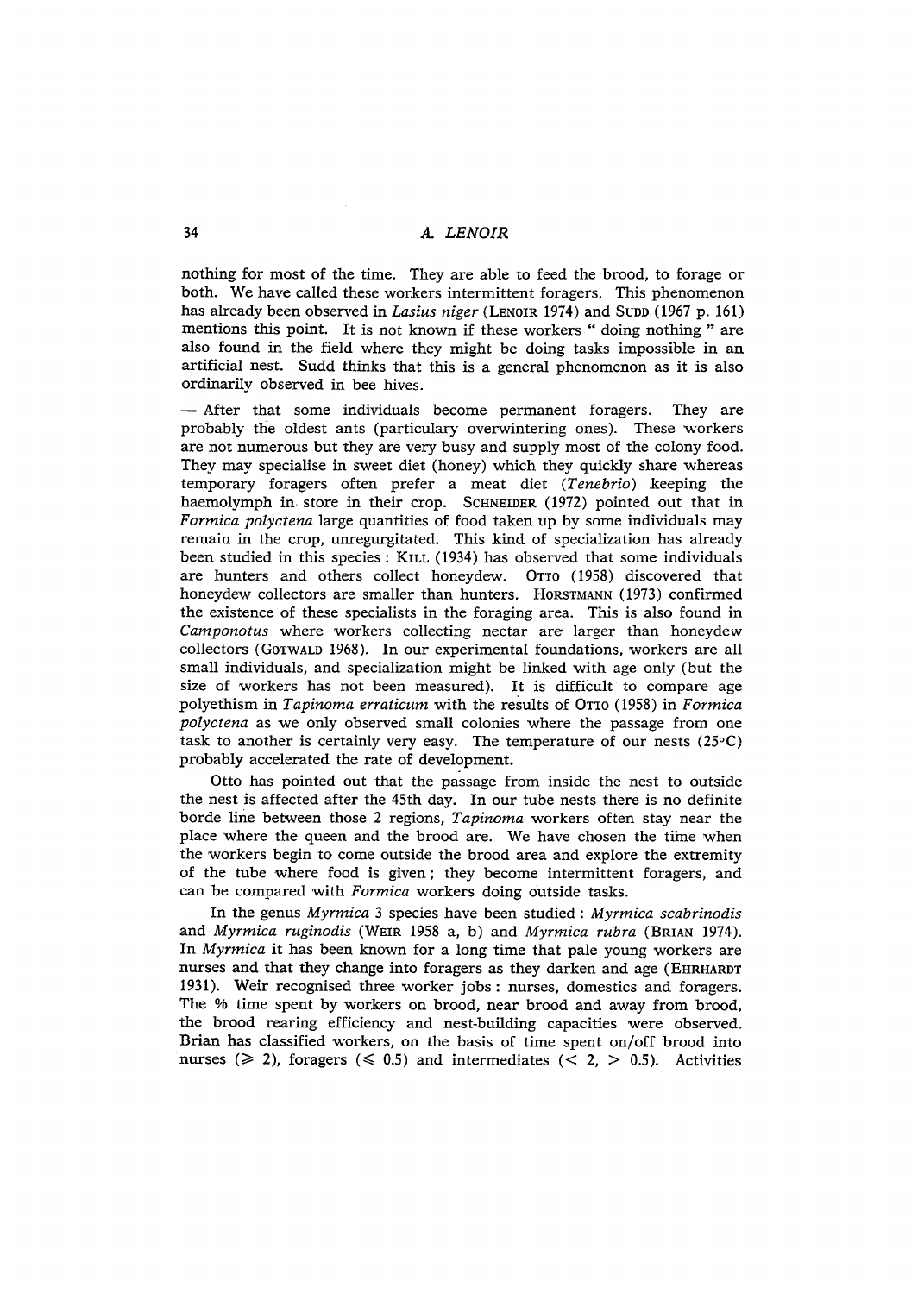nothing for most of the time. They are able to feed the brood, to forage or both. We have called these workers intermittent foragers. This phenomenon has already been observed in *Lasius niger* (LENOIR 1974) and SUDD (1967 p. 161) mentions this point. It is not known if these workers " doing nothing " are also found in the field where they might be doing tasks impossible in an artificial nest. Sudd thinks that this is a general phenomenon as it is also ordinarily observed in bee hives.

 $-$  After that some individuals become permanent foragers. They are probably the oldest ants (particulary overwintering ones). These workers are not numerous but they are very busy and supply most of the colony food. They may specialise in sweet diet (honey) which they quickly share whereas temporary foragers often prefer a meat diet *(Tenebrio)* keeping tile haemolymph in store in their crop. SCHNEIDER (1972) pointed out that in *Formica polyctena* large quantities of food taken up by some individuals may remain in the crop, unregurgitated. This kind of specialization has already been studied in this species: KILL (1934) has observed that some individuals are hunters and others collect honeydew. OTTO (1958) discovered that honeydew collectors are smaller than hunters. HORSTMANN (1973) confirmed the existence of these specialists in the foraging area. This is also found in *Camponotus* where workers collecting nectar are larger than honeydew collectors (GOTWALD 1968). In our experimental foundations, workers are all small individuals, and specialization might be linked with age only (but the size of workers has not been measured). It is difficult to compare age polyethism in *Tapinoma erraticum* with the results of OTTO (1958) in *Formica polyctena* as we only observed small colonies where the passage from one task to another is certainly very easy. The temperature of our nests  $(25^{\circ}C)$ probably accelerated the rate of development.

Otto has pointed out that the passage from inside the nest to outside the nest is affected after the 45th day. In our tube nests there is no definite borde line between those 2 regions, *Tapinoma* workers often stay near the place where the queen and the brood are. We have chosen the tiine when the workers begin to come outside the brood area and explore the extremity of the tube where food is given; they become intermittent foragers, and can be compared with *Formica* workers doing outside tasks.

In the genus *Myrmica* 3 species have been studied : *Myrmica scabrinodis*  and *Myrmica ruginodis* (WEIR 1958 a, b) and *Myrmica rubra* (BRIAN 1974). In *Myrmica* it has been known for a long time that pale young workers are nurses and that they change into foragers as they darken and age (EHRHARDT 1931). Weir recognised three worker jobs: nurses, domestics and foragers. The % time spent by workers on brood, near brood and away from brood, the brood rearing efficiency and nest-building capacities xvere observed. Brian has classified workers, on the basis of time spent on/off brood into nurses ( $\ge 2$ ), foragers ( $\le 0.5$ ) and intermediates ( $\le 2$ ,  $> 0.5$ ). Activities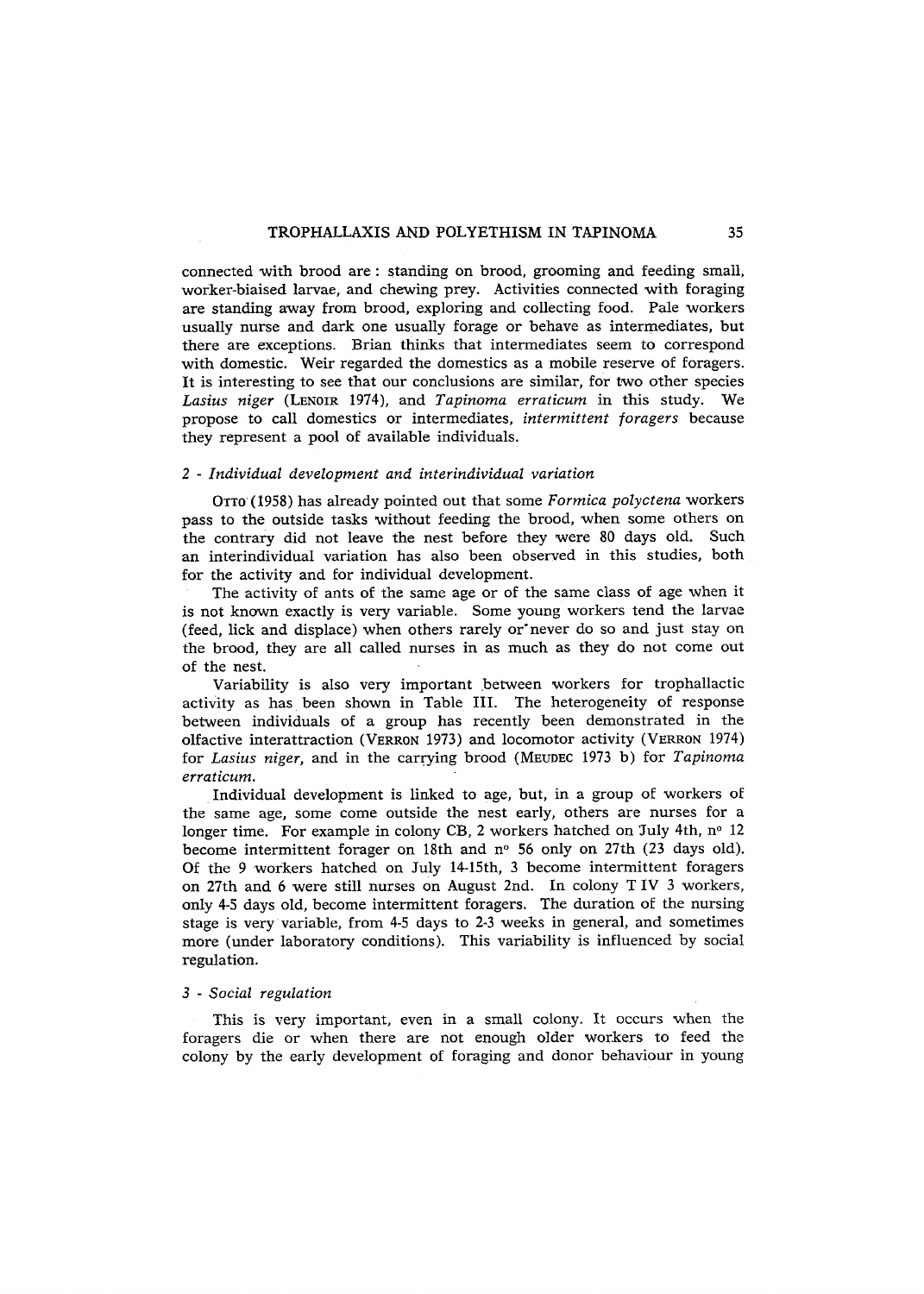connected with brood are : standing on brood, grooming and feeding small, worker-biaised larvae, and chewing prey. Activities connected with foraging are standing away from brood, exploring and collecting food. Pale workers usually nurse and dark one usually forage or behave as intermediates, but there are exceptions. Brian thinks that intermediates seem to correspond with domestic. Weir regarded the domestics as a mobile reserve of foragers. It is interesting to see that our conclusions are similar, for two other species *Lasius niger* (LENOIR 1974), and *Tapinoma erraticum* in this study. We propose to call domestics or intermediates, *intermittent foragers* because they represent a pool of available individuals.

## *2 - Individual development and interindividual variation*

OTTO (I958) has already pointed out that some *Formica polyctena* 'workers pass to the outside tasks without feeding the brood, when some others on the contrary did not leave the nest before they were 80 days old. Such an interindividual variation has also been observed in this studies, both for the activity and for individual development.

The activity of ants of the same age or of the same class of age when it is not known exactly is very variable. Some young workers tend the larvae (feed, lick and displace) when others rarely or'never do so and just stay on the brood, they are all called nurses in as much as they do not come out of the nest.

Variability is also very important .between workers for trophallactic activity as has been shown in Table III. The heterogeneity of response between individuals of a group has recently been demonstrated in the olfactive interattraction (VERRON 1973) and locomotor activity (VERRON 1974) for *Lasius niger*, and in the carrying brood (MEUDEC 1973 b) for *Tapinoma erraticum.* 

Individual development is linked to age, but, in a group of workers of the same age, some come outside the nest early, others are nurses for a longer time. For example in colony CB, 2 workers hatched on July 4th,  $n<sup>o</sup>$  12 become intermittent forager on 18th and n° 56 only on 27th (23 days old). Of the 9 workers hatched on July 14-15th, 3 become intermittent foragers on 27th and 6 were still nurses on August 2nd. In colony T IV 3 workers, only 4-5 days old, become intermittent foragers. The duration of the nursing stage is very variable, from 4-5 days to 2-3 weeks in general, and sometimes more (under laboratory conditions). This variability is influenced by social regulation.

# *3 - Social regulation*

This is very important, even in a small colony. It occurs when the foragers die or when there are not enough older workers to feed the colony by the early development of foraging and donor behaviour in young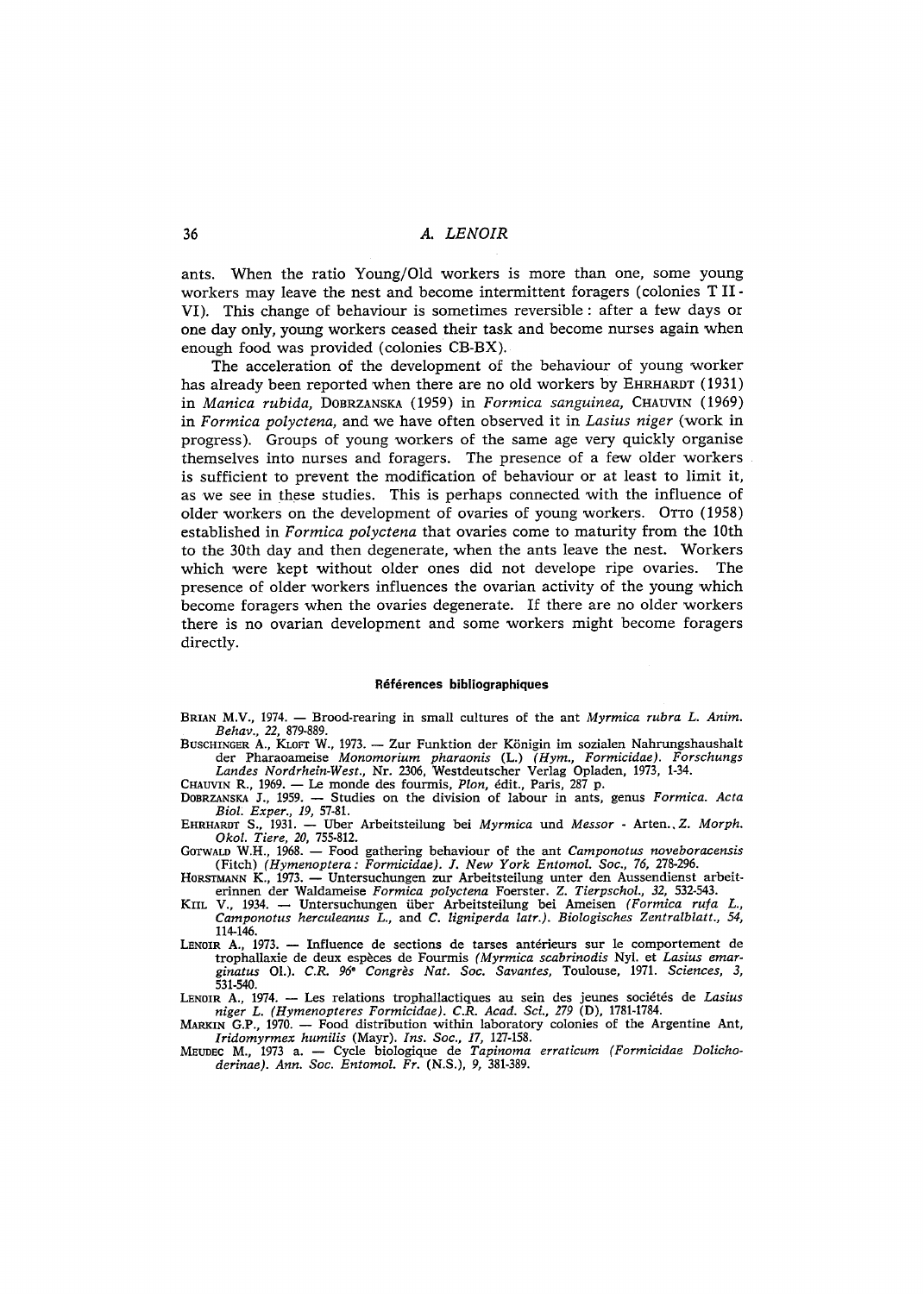ants. When the ratio Young/Old workers is more than one, some young workers may leave the nest and become intermittent foragers (colonies T II-VI). This change of behaviour is sometimes reversible : after a few days or one day only, young workers ceased their task and become nurses again when enough food was provided (colonies CB-BX).

The acceleration of the development of the behaviour of young worker has already been reported when there are no old workers by EHRHARDT (1931) in *Manica rubida,* DOBRZANSKA (1959) in *Formica sanguinea,* CHAUVIN (1969) in *Formica polyctena,* and we have often observed it in *Lasius niger* (work in progress). Groups of young workers of the same age very quickly organise themselves into nurses and foragers. The presence of a few older workers is sufficient to prevent the modification of behaviour or at least to limit it, as we see in these studies. This is perhaps connected with the influence of older workers on the development of ovaries of young workers. OTTO (1958) established in *Formica polyctena* that ovaries come to maturity from the 10th to the 30th day and then degenerate, when the ants leave the nest. Workers which were kept without older ones did not develope ripe ovaries. The presence of older workers influences the ovarian activity of the young which become foragers when the ovaries degenerate. If there are no older workers there is no ovarian development and some workers might become foragers directly.

## **R6fdrences bibliographiques**

BRIAN M.V., 1974. -- Brood-rearing in small cultures of the ant *Myrmica rubra L. Anim. Behav., 22,* 879-889.

BUSCHINGER A., KLOFT W., 1973. -- Zur Funktion der Königin im sozialen Nahrungshaushalt der Pharaoameise *Monomorium pharaonis (L.) (Hym., Formicidae). Forschungs Landes Nordrhein-West.,* Nr. 2306, Westdeutscher Verlag Opladen, 1973, 1-34.

CHAUVIN R., 1969. -- Le monde des fourmis, *Plon*, édit., Paris, 287 p.

DOBRZANSKA J., 1959. -- Studies on the division of labour in ants, genus *Formica. Acta BioL Exper., 19,* 57-81.

EHRHARDT S., 1931. - Uber Arbeitsteilung bei *Myrmica* und *Messor - Arten., Z. Morph. Okol. Tiere, 20,* 755-812.

GOTWALD W.H., 1968. -- Food gathering behaviour of the ant *Camponotus noveboracensis*  (Fitch) *(Hymenoptera : Formicidae). 1. New York Entomol. Soc., 76,* 278-296.

- HORSTMANN K., 1973. -- Untersuchungen zur Arbeitsteilung unter den Aussendienst arbeiterinnen der Waldameise *Formica polyctena* Foerster. *Z. Tierpschol., 32,* 532-543.
- KIIL V., 1934. -- Untersuchungen fiber Arbeitsteilung bei Ameisen *(Formica rufa L., Camponotus herculeanus L.,* and *C. Iigniperda latr.). Biologisches Zentralblatt., 54,*  114-146.

LENOIR A., 1973. -- Influence de sections de tarses antérieurs sur le comportement de trophallaxie de deux espèces de Fourmis *(Myrmica scabrinodis Nyl. et Lasius emar*ginatus Ol.). C.R. 96<sup>°</sup> Congrès Nat. Soc. Savantes, Toulouse, 1971. Sciences, 3, 531-540.

LENOIR A., 1974. -- Les relations trophallactiques au sein des jeunes sociétés de Lasius *niger L. (Hymenopteres Formicidae). C.R. Acad. Sci., 279* (D), 1781-1784.

MARKIN G.P., 1970. -- Food distribution within laboratory colonies of the Argentine Ant, *Iridomyrmex humilis* (Mayr). *Ins. Soc., 17,* 127-158.

MEt/DEC M., 1973 a. -- Cycle biologique de *Tapinoma erraticum (Formicidae Dolichoderinae). Ann. Soc. Entomol. Fr.* (N.S.), *9,* 381-389.